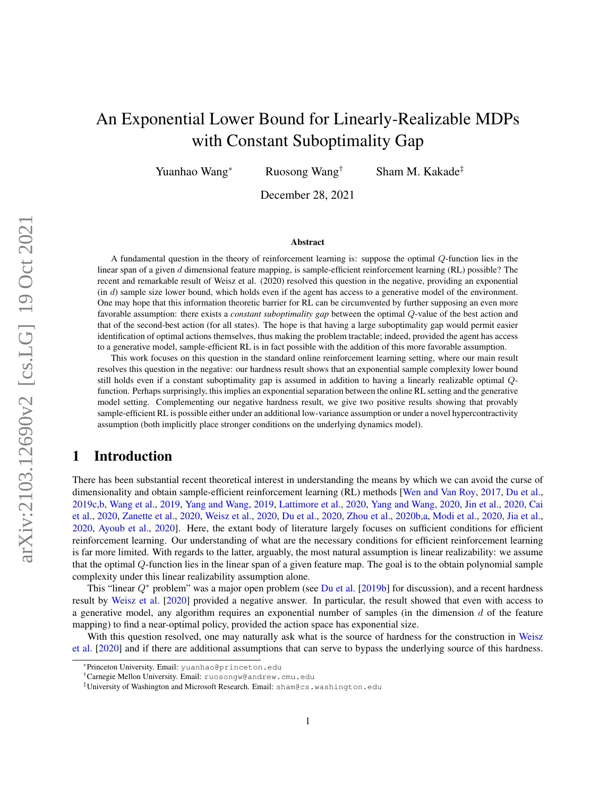# An Exponential Lower Bound for Linearly-Realizable MDPs with Constant Suboptimality Gap

Yuanhao Wang<sup>\*</sup> Ruosong Wang<sup>†</sup> Sham M. Kakade<sup>‡</sup>

December 28, 2021

#### Abstract

A fundamental question in the theory of reinforcement learning is: suppose the optimal Q-function lies in the linear span of a given d dimensional feature mapping, is sample-efficient reinforcement learning (RL) possible? The recent and remarkable result of Weisz et al. (2020) resolved this question in the negative, providing an exponential  $(in d)$  sample size lower bound, which holds even if the agent has access to a generative model of the environment. One may hope that this information theoretic barrier for RL can be circumvented by further supposing an even more favorable assumption: there exists a *constant suboptimality gap* between the optimal Q-value of the best action and that of the second-best action (for all states). The hope is that having a large suboptimality gap would permit easier identification of optimal actions themselves, thus making the problem tractable; indeed, provided the agent has access to a generative model, sample-efficient RL is in fact possible with the addition of this more favorable assumption.

This work focuses on this question in the standard online reinforcement learning setting, where our main result resolves this question in the negative: our hardness result shows that an exponential sample complexity lower bound still holds even if a constant suboptimality gap is assumed in addition to having a linearly realizable optimal Qfunction. Perhaps surprisingly, this implies an exponential separation between the online RL setting and the generative model setting. Complementing our negative hardness result, we give two positive results showing that provably sample-efficient RL is possible either under an additional low-variance assumption or under a novel hypercontractivity assumption (both implicitly place stronger conditions on the underlying dynamics model).

## 1 Introduction

There has been substantial recent theoretical interest in understanding the means by which we can avoid the curse of dimensionality and obtain sample-efficient reinforcement learning (RL) methods [\[Wen and Van Roy,](#page-13-0) [2017,](#page-13-0) [Du et al.,](#page-12-0) [2019c](#page-12-0)[,b,](#page-12-1) [Wang et al.,](#page-13-1) [2019,](#page-13-1) [Yang and Wang,](#page-13-2) [2019,](#page-13-2) [Lattimore et al.,](#page-12-2) [2020,](#page-12-2) [Yang and Wang,](#page-13-3) [2020,](#page-13-3) [Jin et al.,](#page-12-3) [2020,](#page-12-3) [Cai](#page-11-0) [et al.,](#page-11-0) [2020,](#page-11-0) [Zanette et al.,](#page-13-4) [2020,](#page-13-4) [Weisz et al.,](#page-13-5) [2020,](#page-13-5) [Du et al.,](#page-12-4) [2020,](#page-12-4) [Zhou et al.,](#page-13-6) [2020b,](#page-13-6)[a,](#page-13-7) [Modi et al.,](#page-12-5) [2020,](#page-12-5) [Jia et al.,](#page-12-6) [2020,](#page-12-6) [Ayoub et al.,](#page-11-1) [2020\]](#page-11-1). Here, the extant body of literature largely focuses on sufficient conditions for efficient reinforcement learning. Our understanding of what are the necessary conditions for efficient reinforcement learning is far more limited. With regards to the latter, arguably, the most natural assumption is linear realizability: we assume that the optimal Q-function lies in the linear span of a given feature map. The goal is to the obtain polynomial sample complexity under this linear realizability assumption alone.

This "linear  $Q^*$  problem" was a major open problem (see [Du et al.](#page-12-1) [\[2019b\]](#page-12-1) for discussion), and a recent hardness result by [Weisz et al.](#page-13-5) [\[2020\]](#page-13-5) provided a negative answer. In particular, the result showed that even with access to a generative model, any algorithm requires an exponential number of samples (in the dimension  $d$  of the feature mapping) to find a near-optimal policy, provided the action space has exponential size.

With this question resolved, one may naturally ask what is the source of hardness for the construction in [Weisz](#page-13-5) [et al.](#page-13-5) [\[2020\]](#page-13-5) and if there are additional assumptions that can serve to bypass the underlying source of this hardness.

<sup>\*</sup>Princeton University. Email: yuanhao@princeton.edu

<sup>†</sup>Carnegie Mellon University. Email: ruosongw@andrew.cmu.edu

<sup>‡</sup>University of Washington and Microsoft Research. Email: sham@cs.washington.edu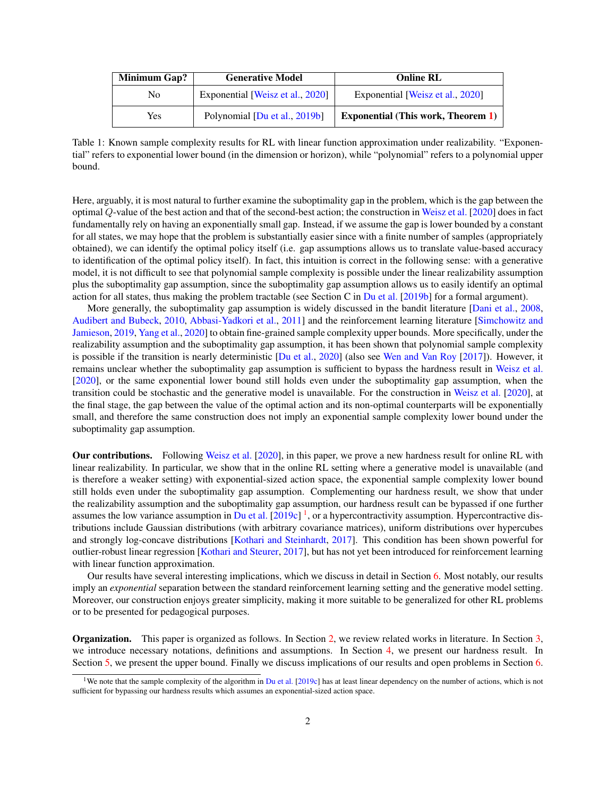| Minimum Gap? | <b>Generative Model</b>          | <b>Online RL</b>                          |
|--------------|----------------------------------|-------------------------------------------|
| No           | Exponential [Weisz et al., 2020] | Exponential [Weisz et al., 2020]          |
| Yes          | Polynomial [Du et al., 2019b]    | <b>Exponential (This work, Theorem 1)</b> |

Table 1: Known sample complexity results for RL with linear function approximation under realizability. "Exponential" refers to exponential lower bound (in the dimension or horizon), while "polynomial" refers to a polynomial upper bound.

Here, arguably, it is most natural to further examine the suboptimality gap in the problem, which is the gap between the optimal Q-value of the best action and that of the second-best action; the construction in [Weisz et al.](#page-13-5) [\[2020\]](#page-13-5) does in fact fundamentally rely on having an exponentially small gap. Instead, if we assume the gap is lower bounded by a constant for all states, we may hope that the problem is substantially easier since with a finite number of samples (appropriately obtained), we can identify the optimal policy itself (i.e. gap assumptions allows us to translate value-based accuracy to identification of the optimal policy itself). In fact, this intuition is correct in the following sense: with a generative model, it is not difficult to see that polynomial sample complexity is possible under the linear realizability assumption plus the suboptimality gap assumption, since the suboptimality gap assumption allows us to easily identify an optimal action for all states, thus making the problem tractable (see Section C in [Du et al.](#page-12-1) [\[2019b\]](#page-12-1) for a formal argument).

More generally, the suboptimality gap assumption is widely discussed in the bandit literature [\[Dani et al.,](#page-11-2) [2008,](#page-11-2) [Audibert and Bubeck,](#page-11-3) [2010,](#page-11-3) [Abbasi-Yadkori et al.,](#page-11-4) [2011\]](#page-11-4) and the reinforcement learning literature [\[Simchowitz and](#page-13-8) [Jamieson,](#page-13-8) [2019,](#page-13-8) [Yang et al.,](#page-13-9) [2020\]](#page-13-9) to obtain fine-grained sample complexity upper bounds. More specifically, under the realizability assumption and the suboptimality gap assumption, it has been shown that polynomial sample complexity is possible if the transition is nearly deterministic [\[Du et al.,](#page-12-4) [2020\]](#page-12-4) (also see [Wen and Van Roy](#page-13-0) [\[2017\]](#page-13-0)). However, it remains unclear whether the suboptimality gap assumption is sufficient to bypass the hardness result in [Weisz et al.](#page-13-5) [\[2020\]](#page-13-5), or the same exponential lower bound still holds even under the suboptimality gap assumption, when the transition could be stochastic and the generative model is unavailable. For the construction in [Weisz et al.](#page-13-5) [\[2020\]](#page-13-5), at the final stage, the gap between the value of the optimal action and its non-optimal counterparts will be exponentially small, and therefore the same construction does not imply an exponential sample complexity lower bound under the suboptimality gap assumption.

Our contributions. Following [Weisz et al.](#page-13-5) [\[2020\]](#page-13-5), in this paper, we prove a new hardness result for online RL with linear realizability. In particular, we show that in the online RL setting where a generative model is unavailable (and is therefore a weaker setting) with exponential-sized action space, the exponential sample complexity lower bound still holds even under the suboptimality gap assumption. Complementing our hardness result, we show that under the realizability assumption and the suboptimality gap assumption, our hardness result can be bypassed if one further assumes the low variance assumption in [Du et al.](#page-12-0)  $[2019c]$ <sup>[1](#page-1-0)</sup>, or a hypercontractivity assumption. Hypercontractive distributions include Gaussian distributions (with arbitrary covariance matrices), uniform distributions over hypercubes and strongly log-concave distributions [\[Kothari and Steinhardt,](#page-12-7) [2017\]](#page-12-7). This condition has been shown powerful for outlier-robust linear regression [\[Kothari and Steurer,](#page-12-8) [2017\]](#page-12-8), but has not yet been introduced for reinforcement learning with linear function approximation.

Our results have several interesting implications, which we discuss in detail in Section [6.](#page-10-0) Most notably, our results imply an *exponential* separation between the standard reinforcement learning setting and the generative model setting. Moreover, our construction enjoys greater simplicity, making it more suitable to be generalized for other RL problems or to be presented for pedagogical purposes.

Organization. This paper is organized as follows. In Section [2,](#page-2-0) we review related works in literature. In Section [3,](#page-2-1) we introduce necessary notations, definitions and assumptions. In Section [4,](#page-3-1) we present our hardness result. In Section [5,](#page-7-0) we present the upper bound. Finally we discuss implications of our results and open problems in Section [6.](#page-10-0)

<span id="page-1-0"></span><sup>&</sup>lt;sup>1</sup>We note that the sample complexity of the algorithm in [Du et al.](#page-12-0) [\[2019c\]](#page-12-0) has at least linear dependency on the number of actions, which is not sufficient for bypassing our hardness results which assumes an exponential-sized action space.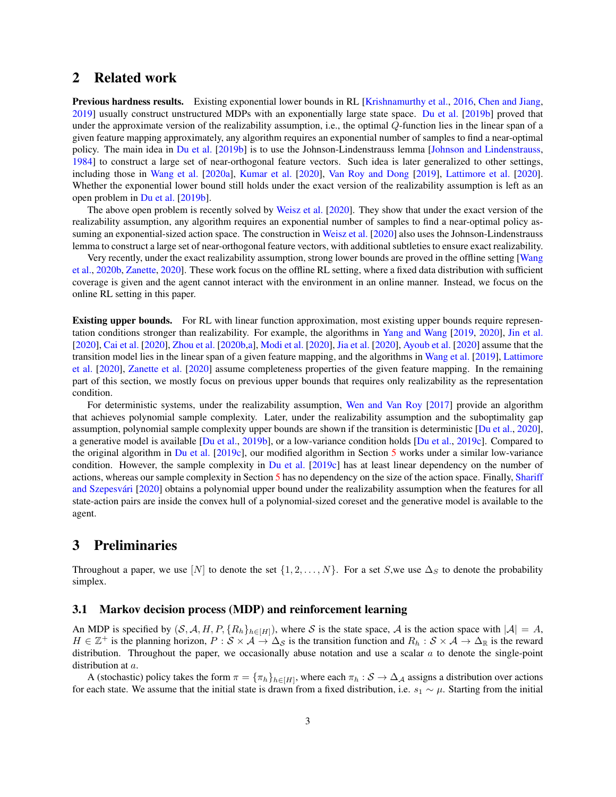## <span id="page-2-0"></span>2 Related work

Previous hardness results. Existing exponential lower bounds in RL [\[Krishnamurthy et al.,](#page-12-9) [2016,](#page-12-9) [Chen and Jiang,](#page-11-5) [2019\]](#page-11-5) usually construct unstructured MDPs with an exponentially large state space. [Du et al.](#page-12-1) [\[2019b\]](#page-12-1) proved that under the approximate version of the realizability assumption, i.e., the optimal  $Q$ -function lies in the linear span of a given feature mapping approximately, any algorithm requires an exponential number of samples to find a near-optimal policy. The main idea in [Du et al.](#page-12-1) [\[2019b\]](#page-12-1) is to use the Johnson-Lindenstrauss lemma [\[Johnson and Lindenstrauss,](#page-12-10) [1984\]](#page-12-10) to construct a large set of near-orthogonal feature vectors. Such idea is later generalized to other settings, including those in [Wang et al.](#page-13-10) [\[2020a\]](#page-13-10), [Kumar et al.](#page-12-11) [\[2020\]](#page-12-11), [Van Roy and Dong](#page-13-11) [\[2019\]](#page-13-11), [Lattimore et al.](#page-12-2) [\[2020\]](#page-12-2). Whether the exponential lower bound still holds under the exact version of the realizability assumption is left as an open problem in [Du et al.](#page-12-1) [\[2019b\]](#page-12-1).

The above open problem is recently solved by [Weisz et al.](#page-13-5) [\[2020\]](#page-13-5). They show that under the exact version of the realizability assumption, any algorithm requires an exponential number of samples to find a near-optimal policy as-suming an exponential-sized action space. The construction in [Weisz et al.](#page-13-5) [\[2020\]](#page-13-5) also uses the Johnson-Lindenstrauss lemma to construct a large set of near-orthogonal feature vectors, with additional subtleties to ensure exact realizability.

Very recently, under the exact realizability assumption, strong lower bounds are proved in the offline setting [\[Wang](#page-13-12) [et al.,](#page-13-12) [2020b,](#page-13-12) [Zanette,](#page-13-13) [2020\]](#page-13-13). These work focus on the offline RL setting, where a fixed data distribution with sufficient coverage is given and the agent cannot interact with the environment in an online manner. Instead, we focus on the online RL setting in this paper.

Existing upper bounds. For RL with linear function approximation, most existing upper bounds require representation conditions stronger than realizability. For example, the algorithms in [Yang and Wang](#page-13-2) [\[2019,](#page-13-2) [2020\]](#page-13-3), [Jin et al.](#page-12-3) [\[2020\]](#page-12-3), [Cai et al.](#page-11-0) [\[2020\]](#page-11-0), [Zhou et al.](#page-13-6) [\[2020b,](#page-13-6)[a\]](#page-13-7), [Modi et al.](#page-12-5) [\[2020\]](#page-12-5), [Jia et al.](#page-12-6) [\[2020\]](#page-12-6), [Ayoub et al.](#page-11-1) [\[2020\]](#page-11-1) assume that the transition model lies in the linear span of a given feature mapping, and the algorithms in [Wang et al.](#page-13-1) [\[2019\]](#page-13-1), [Lattimore](#page-12-2) [et al.](#page-12-2) [\[2020\]](#page-12-2), [Zanette et al.](#page-13-4) [\[2020\]](#page-13-4) assume completeness properties of the given feature mapping. In the remaining part of this section, we mostly focus on previous upper bounds that requires only realizability as the representation condition.

For deterministic systems, under the realizability assumption, [Wen and Van Roy](#page-13-0) [\[2017\]](#page-13-0) provide an algorithm that achieves polynomial sample complexity. Later, under the realizability assumption and the suboptimality gap assumption, polynomial sample complexity upper bounds are shown if the transition is deterministic [\[Du et al.,](#page-12-4) [2020\]](#page-12-4), a generative model is available [\[Du et al.,](#page-12-1) [2019b\]](#page-12-1), or a low-variance condition holds [\[Du et al.,](#page-12-0) [2019c\]](#page-12-0). Compared to the original algorithm in [Du et al.](#page-12-0) [\[2019c\]](#page-12-0), our modified algorithm in Section [5](#page-7-0) works under a similar low-variance condition. However, the sample complexity in [Du et al.](#page-12-0) [\[2019c\]](#page-12-0) has at least linear dependency on the number of actions, whereas our sample complexity in Section [5](#page-7-0) has no dependency on the size of the action space. Finally, [Shariff](#page-13-14) and Szepesvári [\[2020\]](#page-13-14) obtains a polynomial upper bound under the realizability assumption when the features for all state-action pairs are inside the convex hull of a polynomial-sized coreset and the generative model is available to the agent.

## <span id="page-2-1"></span>3 Preliminaries

Throughout a paper, we use [N] to denote the set  $\{1, 2, ..., N\}$ . For a set S, we use  $\Delta_S$  to denote the probability simplex.

#### 3.1 Markov decision process (MDP) and reinforcement learning

An MDP is specified by  $(S, \mathcal{A}, H, P, \{R_h\}_{h \in [H]})$ , where S is the state space, A is the action space with  $|\mathcal{A}| = A$ ,  $H \in \mathbb{Z}^+$  is the planning horizon,  $P : \mathcal{S} \times \mathcal{A} \to \Delta_{\mathcal{S}}$  is the transition function and  $R_h : \mathcal{S} \times \mathcal{A} \to \Delta_{\mathbb{R}}$  is the reward distribution. Throughout the paper, we occasionally abuse notation and use a scalar  $a$  to denote the single-point distribution at a.

A (stochastic) policy takes the form  $\pi = \{\pi_h\}_{h\in[H]}$ , where each  $\pi_h : S \to \Delta_A$  assigns a distribution over actions for each state. We assume that the initial state is drawn from a fixed distribution, i.e.  $s_1 \sim \mu$ . Starting from the initial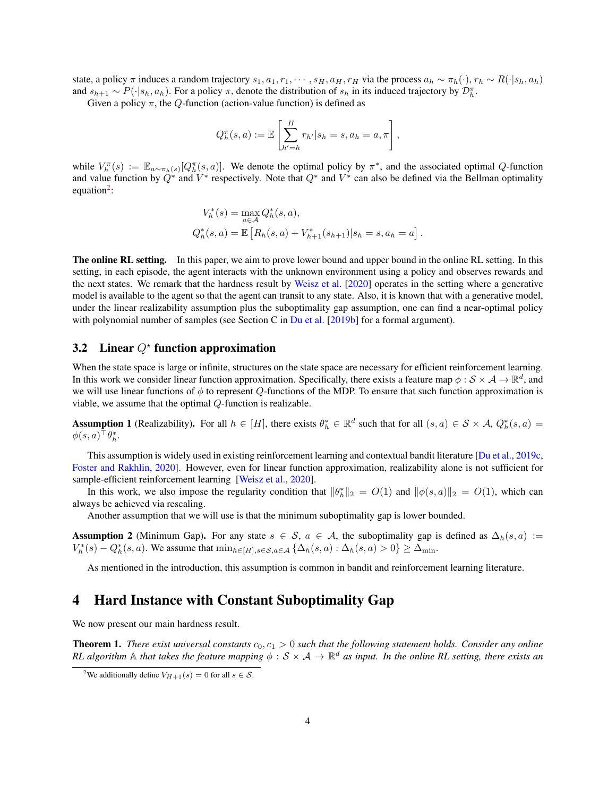state, a policy π induces a random trajectory  $s_1, a_1, r_1, \cdots, s_H, a_H, r_H$  via the process  $a_h \sim \pi_h(\cdot)$ ,  $r_h \sim R(\cdot|s_h, a_h)$ and  $s_{h+1} \sim P(\cdot | s_h, a_h)$ . For a policy  $\pi$ , denote the distribution of  $s_h$  in its induced trajectory by  $\mathcal{D}_h^{\pi}$ .

Given a policy  $\pi$ , the Q-function (action-value function) is defined as

$$
Q_h^{\pi}(s, a) := \mathbb{E}\left[\sum_{h'=h}^H r_{h'}|s_h = s, a_h = a, \pi\right],
$$

while  $V_h^{\pi}(s) := \mathbb{E}_{a \sim \pi_h(s)}[Q_h^{\pi}(s, a)]$ . We denote the optimal policy by  $\pi^*$ , and the associated optimal Q-function and value function by  $Q^*$  and  $V^*$  respectively. Note that  $Q^*$  and  $V^*$  can also be defined via the Bellman optimality equation<sup>[2](#page-3-2)</sup>:

$$
V_h^*(s) = \max_{a \in \mathcal{A}} Q_h^*(s, a),
$$
  
\n
$$
Q_h^*(s, a) = \mathbb{E}\left[R_h(s, a) + V_{h+1}^*(s_{h+1})|s_h = s, a_h = a\right].
$$

The online RL setting. In this paper, we aim to prove lower bound and upper bound in the online RL setting. In this setting, in each episode, the agent interacts with the unknown environment using a policy and observes rewards and the next states. We remark that the hardness result by [Weisz et al.](#page-13-5)  $[2020]$  operates in the setting where a generative model is available to the agent so that the agent can transit to any state. Also, it is known that with a generative model, under the linear realizability assumption plus the suboptimality gap assumption, one can find a near-optimal policy with polynomial number of samples (see Section C in [Du et al.](#page-12-1) [\[2019b\]](#page-12-1) for a formal argument).

## 3.2 Linear  $Q^*$  function approximation

When the state space is large or infinite, structures on the state space are necessary for efficient reinforcement learning. In this work we consider linear function approximation. Specifically, there exists a feature map  $\phi: S \times A \to \mathbb{R}^d$ , and we will use linear functions of  $\phi$  to represent Q-functions of the MDP. To ensure that such function approximation is viable, we assume that the optimal Q-function is realizable.

<span id="page-3-3"></span>**Assumption 1** (Realizability). For all  $h \in [H]$ , there exists  $\theta_h^* \in \mathbb{R}^d$  such that for all  $(s, a) \in S \times A$ ,  $Q_h^*(s, a) =$  $\phi(s,a)^\top \theta^*_h.$ 

This assumption is widely used in existing reinforcement learning and contextual bandit literature [\[Du et al.,](#page-12-0) [2019c,](#page-12-0) [Foster and Rakhlin,](#page-12-12) [2020\]](#page-12-12). However, even for linear function approximation, realizability alone is not sufficient for sample-efficient reinforcement learning [\[Weisz et al.,](#page-13-5) [2020\]](#page-13-5).

In this work, we also impose the regularity condition that  $\|\theta_h^*\|_2 = O(1)$  and  $\|\phi(s, a)\|_2 = O(1)$ , which can always be achieved via rescaling.

Another assumption that we will use is that the minimum suboptimality gap is lower bounded.

<span id="page-3-4"></span>Assumption 2 (Minimum Gap). For any state  $s \in S$ ,  $a \in A$ , the suboptimality gap is defined as  $\Delta_h(s, a) :=$  $V_h^*(s) - Q_h^*(s, a)$ . We assume that  $\min_{h \in [H], s \in S, a \in A} \{ \Delta_h(s, a) : \Delta_h(s, a) > 0 \} \ge \Delta_{\min}$ .

As mentioned in the introduction, this assumption is common in bandit and reinforcement learning literature.

### <span id="page-3-1"></span>4 Hard Instance with Constant Suboptimality Gap

We now present our main hardness result.

<span id="page-3-0"></span>**Theorem 1.** *There exist universal constants*  $c_0$ ,  $c_1 > 0$  *such that the following statement holds. Consider any online* RL algorithm  $A$  that takes the feature mapping  $\phi: S \times A \to \mathbb{R}^d$  as input. In the online RL setting, there exists an

<span id="page-3-2"></span><sup>&</sup>lt;sup>2</sup>We additionally define  $V_{H+1}(s) = 0$  for all  $s \in \mathcal{S}$ .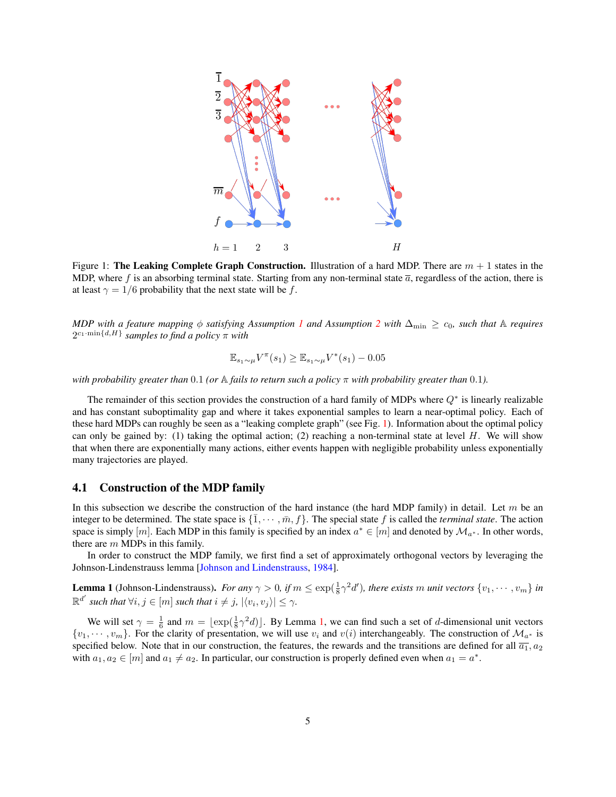<span id="page-4-0"></span>

Figure 1: The Leaking Complete Graph Construction. Illustration of a hard MDP. There are  $m + 1$  states in the MDP, where f is an absorbing terminal state. Starting from any non-terminal state  $\bar{a}$ , regardless of the action, there is at least  $\gamma = 1/6$  probability that the next state will be f.

*MDP* with a feature mapping  $\phi$  *satisfying Assumption [1](#page-3-3) and Assumption [2](#page-3-4) with*  $\Delta_{\min} \ge c_0$ *, such that* A *requires*  $2^{c_1 \cdot \min\{d,H\}}$  *samples to find a policy*  $\pi$  *with* 

$$
\mathbb{E}_{s_1 \sim \mu} V^{\pi}(s_1) \ge \mathbb{E}_{s_1 \sim \mu} V^*(s_1) - 0.05
$$

*with probability greater than* 0.1 *(or*  $\triangle$  *fails to return such a policy*  $\pi$  *with probability greater than* 0.1*)*.

The remainder of this section provides the construction of a hard family of MDPs where  $Q^*$  is linearly realizable and has constant suboptimality gap and where it takes exponential samples to learn a near-optimal policy. Each of these hard MDPs can roughly be seen as a "leaking complete graph" (see Fig. [1\)](#page-4-0). Information about the optimal policy can only be gained by: (1) taking the optimal action; (2) reaching a non-terminal state at level  $H$ . We will show that when there are exponentially many actions, either events happen with negligible probability unless exponentially many trajectories are played.

#### 4.1 Construction of the MDP family

In this subsection we describe the construction of the hard instance (the hard MDP family) in detail. Let  $m$  be an integer to be determined. The state space is  $\{\bar{1}, \dots, \bar{m}, f\}$ . The special state f is called the *terminal state*. The action space is simply  $[m]$ . Each MDP in this family is specified by an index  $a^* \in [m]$  and denoted by  $\mathcal{M}_{a^*}$ . In other words, there are  $m$  MDPs in this family.

In order to construct the MDP family, we first find a set of approximately orthogonal vectors by leveraging the Johnson-Lindenstrauss lemma [\[Johnson and Lindenstrauss,](#page-12-10) [1984\]](#page-12-10).

<span id="page-4-1"></span>**Lemma 1** (Johnson-Lindenstrauss). For any  $\gamma > 0$ , if  $m \leq \exp(\frac{1}{8}\gamma^2 d')$ , there exists m unit vectors  $\{v_1, \dots, v_m\}$  in  $\mathbb{R}^{d'}$  such that  $\forall i, j \in [m]$  such that  $i \neq j$ ,  $|\langle v_i, v_j \rangle| \leq \gamma$ .

We will set  $\gamma = \frac{1}{6}$  and  $m = \lfloor \exp(\frac{1}{8}\gamma^2 d) \rfloor$ . By Lemma [1,](#page-4-1) we can find such a set of d-dimensional unit vectors  $\{v_1, \dots, v_m\}$ . For the clarity of presentation, we will use  $v_i$  and  $v(i)$  interchangeably. The construction of  $\mathcal{M}_{a^*}$  is specified below. Note that in our construction, the features, the rewards and the transitions are defined for all  $\overline{a_1}$ ,  $a_2$ with  $a_1, a_2 \in [m]$  and  $a_1 \neq a_2$ . In particular, our construction is properly defined even when  $a_1 = a^*$ .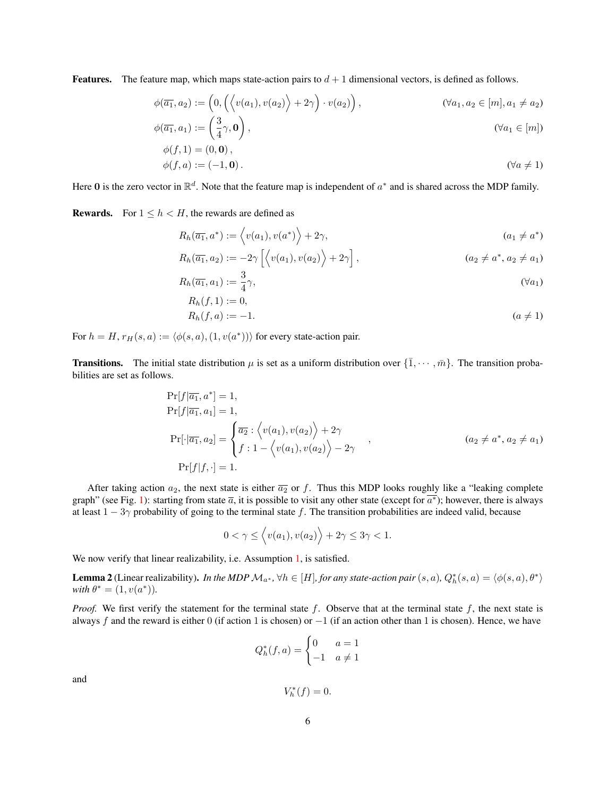**Features.** The feature map, which maps state-action pairs to  $d + 1$  dimensional vectors, is defined as follows.

$$
\phi(\overline{a_1}, a_2) := \left(0, \left(\left\langle v(a_1), v(a_2) \right\rangle + 2\gamma\right) \cdot v(a_2)\right), \qquad (\forall a_1, a_2 \in [m], a_1 \neq a_2)
$$
  

$$
\phi(\overline{a_1}, a_1) := \left(\frac{3}{4}\gamma, \mathbf{0}\right), \qquad (\forall a_1 \in [m])
$$

$$
\phi(\overline{a_1}, a_1) := \left(\frac{3}{4}\gamma, \mathbf{0}\right),
$$
  
\n
$$
\phi(f, 1) = (0, \mathbf{0}),
$$
  
\n
$$
\phi(f, 1) = (0, \mathbf{0}),
$$
\n
$$
\phi(f, 1) = (0, \mathbf{0}),
$$

$$
\phi(f, a) := (-1, \mathbf{0}).\tag{}\forall a \neq 1
$$

Here 0 is the zero vector in  $\mathbb{R}^d$ . Note that the feature map is independent of  $a^*$  and is shared across the MDP family.

**Rewards.** For  $1 \leq h < H$ , the rewards are defined as

$$
R_h(\overline{a_1}, a^*) := \langle v(a_1), v(a^*) \rangle + 2\gamma,
$$
\n
$$
(a_1 \neq a^*)
$$

$$
R_h(\overline{a_1}, a_2) := -2\gamma \left[ \left\langle v(a_1), v(a_2) \right\rangle + 2\gamma \right],
$$
\n
$$
(a_2 \neq a^*, a_2 \neq a_1)
$$

$$
R_h(\overline{a_1}, a_1) := \frac{3}{4}\gamma,
$$
\n
$$
R_h(\overline{a_1}, a_1) := \frac{3}{4}\gamma,
$$
\n
$$
( \forall a_1)
$$

$$
R_h(f, 1) := 0,R_h(f, a) := -1.
$$
 (a \ne 1)

For  $h = H$ ,  $r_H(s, a) := \langle \phi(s, a), (1, v(a^*)) \rangle$  for every state-action pair.

**Transitions.** The initial state distribution  $\mu$  is set as a uniform distribution over  $\{\bar{1}, \cdots, \bar{m}\}$ . The transition probabilities are set as follows.

$$
\Pr[f|\overline{a_1}, a^*] = 1,
$$
\n
$$
\Pr[f|\overline{a_1}, a_1] = 1,
$$
\n
$$
\Pr[\cdot|\overline{a_1}, a_2] = \begin{cases} \overline{a_2} : \langle v(a_1), v(a_2) \rangle + 2\gamma \\ f : 1 - \langle v(a_1), v(a_2) \rangle - 2\gamma \end{cases},
$$
\n
$$
(\overline{a_2} \neq a^*, a_2 \neq a_1)
$$
\n
$$
\Pr[f|f, \cdot] = 1.
$$
\n(4.14)

After taking action  $a_2$ , the next state is either  $\overline{a_2}$  or f. Thus this MDP looks roughly like a "leaking complete graph" (see Fig. [1\)](#page-4-0): starting from state  $\overline{a}$ , it is possible to visit any other state (except for  $\overline{a^*}$ ); however, there is always at least  $1 - 3\gamma$  probability of going to the terminal state f. The transition probabilities are indeed valid, because

$$
0 < \gamma \le \left\langle v(a_1), v(a_2) \right\rangle + 2\gamma \le 3\gamma < 1.
$$

We now verify that linear realizability, i.e. Assumption [1,](#page-3-3) is satisfied.

**Lemma 2** (Linear realizability). *In the MDP*  $M_{a^*}$ ,  $\forall h \in [H]$ , for any state-action pair  $(s, a)$ ,  $Q_h^*(s, a) = \langle \phi(s, a), \theta^* \rangle$  $with \theta^* = (1, v(a^*)).$ 

*Proof.* We first verify the statement for the terminal state  $f$ . Observe that at the terminal state  $f$ , the next state is always f and the reward is either 0 (if action 1 is chosen) or  $-1$  (if an action other than 1 is chosen). Hence, we have

$$
Q_h^*(f, a) = \begin{cases} 0 & a = 1 \\ -1 & a \neq 1 \end{cases}
$$

and

$$
V_h^*(f) = 0.
$$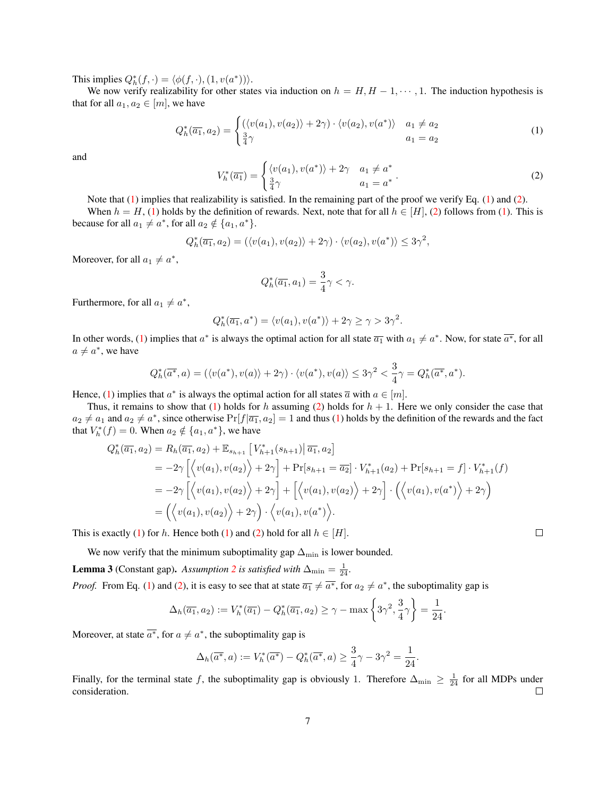This implies  $Q_h^*(f, \cdot) = \langle \phi(f, \cdot), (1, v(a^*)) \rangle$ .

We now verify realizability for other states via induction on  $h = H, H - 1, \dots, 1$ . The induction hypothesis is that for all  $a_1, a_2 \in [m]$ , we have

<span id="page-6-0"></span>
$$
Q_h^*(\overline{a_1}, a_2) = \begin{cases} (\langle v(a_1), v(a_2) \rangle + 2\gamma) \cdot \langle v(a_2), v(a^*) \rangle & a_1 \neq a_2 \\ \frac{3}{4}\gamma & a_1 = a_2 \end{cases}
$$
(1)

and

<span id="page-6-1"></span>
$$
V_h^*(\overline{a_1}) = \begin{cases} \langle v(a_1), v(a^*) \rangle + 2\gamma & a_1 \neq a^* \\ \frac{3}{4}\gamma & a_1 = a^* \end{cases} . \tag{2}
$$

Note that [\(1\)](#page-6-0) implies that realizability is satisfied. In the remaining part of the proof we verify Eq. [\(1\)](#page-6-0) and [\(2\)](#page-6-1).

When  $h = H$ , [\(1\)](#page-6-0) holds by the definition of rewards. Next, note that for all  $h \in [H]$ , [\(2\)](#page-6-1) follows from (1). This is because for all  $a_1 \neq a^*$ , for all  $a_2 \notin \{a_1, a^*\}.$ 

$$
Q_h^*(\overline{a_1}, a_2) = (\langle v(a_1), v(a_2) \rangle + 2\gamma) \cdot \langle v(a_2), v(a^*) \rangle \le 3\gamma^2,
$$

Moreover, for all  $a_1 \neq a^*$ ,

$$
Q_h^*(\overline{a_1}, a_1) = \frac{3}{4}\gamma < \gamma.
$$

Furthermore, for all  $a_1 \neq a^*$ ,

$$
Q_h^*(\overline{a_1}, a^*) = \langle v(a_1), v(a^*) \rangle + 2\gamma \ge \gamma > 3\gamma^2.
$$

In other words, [\(1\)](#page-6-0) implies that  $a^*$  is always the optimal action for all state  $\overline{a_1}$  with  $a_1 \neq a^*$ . Now, for state  $\overline{a^*}$ , for all  $a \neq a^*$ , we have

$$
Q_h^*(\overline{a^*}, a) = (\langle v(a^*), v(a) \rangle + 2\gamma) \cdot \langle v(a^*), v(a) \rangle \le 3\gamma^2 < \frac{3}{4}\gamma = Q_h^*(\overline{a^*}, a^*).
$$

Hence, [\(1\)](#page-6-0) implies that  $a^*$  is always the optimal action for all states  $\overline{a}$  with  $a \in [m]$ .

Thus, it remains to show that [\(1\)](#page-6-0) holds for h assuming [\(2\)](#page-6-1) holds for  $h + 1$ . Here we only consider the case that  $a_2 \neq a_1$  and  $a_2 \neq a^*$ , since otherwise  $Pr[f|\overline{a_1}, a_2] = 1$  and thus [\(1\)](#page-6-0) holds by the definition of the rewards and the fact that  $V_h^*(f) = 0$ . When  $a_2 \notin \{a_1, a^*\}$ , we have

$$
Q_h^*(\overline{a_1}, a_2) = R_h(\overline{a_1}, a_2) + \mathbb{E}_{s_{h+1}} \left[ V_{h+1}^*(s_{h+1}) \middle| \overline{a_1}, a_2 \right]
$$
  
\n
$$
= -2\gamma \left[ \left\langle v(a_1), v(a_2) \right\rangle + 2\gamma \right] + \Pr[s_{h+1} = \overline{a_2}] \cdot V_{h+1}^*(a_2) + \Pr[s_{h+1} = f] \cdot V_{h+1}^*(f)
$$
  
\n
$$
= -2\gamma \left[ \left\langle v(a_1), v(a_2) \right\rangle + 2\gamma \right] + \left[ \left\langle v(a_1), v(a_2) \right\rangle + 2\gamma \right] \cdot \left( \left\langle v(a_1), v(a^*) \right\rangle + 2\gamma \right)
$$
  
\n
$$
= \left( \left\langle v(a_1), v(a_2) \right\rangle + 2\gamma \right) \cdot \left\langle v(a_1), v(a^*) \right\rangle.
$$

This is exactly [\(1\)](#page-6-0) for h. Hence both (1) and [\(2\)](#page-6-1) hold for all  $h \in [H]$ .

We now verify that the minimum suboptimality gap  $\Delta_{\min}$  is lower bounded.

**Lemma 3** (Constant gap). *Assumption* [2](#page-3-4) *is satisfied with*  $\Delta_{\min} = \frac{1}{24}$ *.* 

*Proof.* From Eq. [\(1\)](#page-6-0) and [\(2\)](#page-6-1), it is easy to see that at state  $\overline{a_1} \neq \overline{a^*}$ , for  $a_2 \neq a^*$ , the suboptimality gap is

$$
\Delta_h(\overline{a_1}, a_2) := V_h^*(\overline{a_1}) - Q_h^*(\overline{a_1}, a_2) \ge \gamma - \max\left\{3\gamma^2, \frac{3}{4}\gamma\right\} = \frac{1}{24}.
$$

Moreover, at state  $\overline{a^*}$ , for  $a \neq a^*$ , the suboptimality gap is

$$
\Delta_h(\overline{a^*}, a) := V_h^*(\overline{a^*}) - Q_h^*(\overline{a^*}, a) \ge \frac{3}{4}\gamma - 3\gamma^2 = \frac{1}{24}
$$

.

Finally, for the terminal state f, the suboptimality gap is obviously 1. Therefore  $\Delta_{\min} \geq \frac{1}{24}$  for all MDPs under consideration.

 $\Box$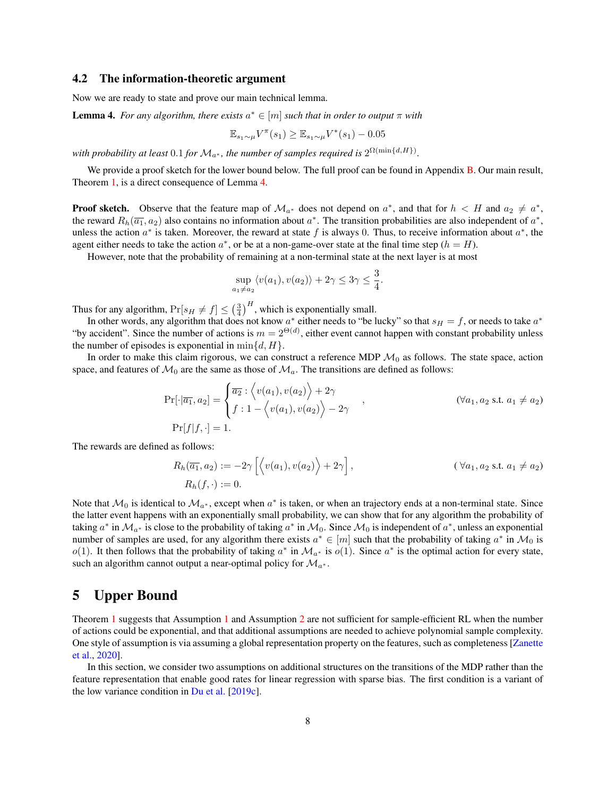#### 4.2 The information-theoretic argument

Now we are ready to state and prove our main technical lemma.

<span id="page-7-1"></span>**Lemma 4.** For any algorithm, there exists  $a^* \in [m]$  such that in order to output  $\pi$  with

$$
\mathbb{E}_{s_1 \sim \mu} V^{\pi}(s_1) \ge \mathbb{E}_{s_1 \sim \mu} V^*(s_1) - 0.05
$$

with probability at least  $0.1$  for  $\mathcal{M}_{a^*}$ , the number of samples required is  $2^{\Omega(\min\{d,H\})}$ .

We provide a proof sketch for the lower bound below. The full proof can be found in Appendix [B.](#page-14-0) Our main result, Theorem [1,](#page-3-0) is a direct consequence of Lemma [4.](#page-7-1)

**Proof sketch.** Observe that the feature map of  $\mathcal{M}_{a^*}$  does not depend on  $a^*$ , and that for  $h < H$  and  $a_2 \neq a^*$ , the reward  $R_h(\overline{a_1}, a_2)$  also contains no information about  $a^*$ . The transition probabilities are also independent of  $a^*$ , unless the action  $a^*$  is taken. Moreover, the reward at state f is always 0. Thus, to receive information about  $a^*$ , the agent either needs to take the action  $a^*$ , or be at a non-game-over state at the final time step  $(h = H)$ .

However, note that the probability of remaining at a non-terminal state at the next layer is at most

$$
\sup_{a_1 \neq a_2} \langle v(a_1), v(a_2) \rangle + 2\gamma \leq 3\gamma \leq \frac{3}{4}.
$$

Thus for any algorithm,  $Pr[s_H \neq f] \leq (\frac{3}{4})^H$ , which is exponentially small.

In other words, any algorithm that does not know  $a^*$  either needs to "be lucky" so that  $s_H = f$ , or needs to take  $a^*$ "by accident". Since the number of actions is  $m = 2^{\Theta(d)}$ , either event cannot happen with constant probability unless the number of episodes is exponential in  $\min\{d, H\}.$ 

In order to make this claim rigorous, we can construct a reference MDP  $\mathcal{M}_0$  as follows. The state space, action space, and features of  $\mathcal{M}_0$  are the same as those of  $\mathcal{M}_a$ . The transitions are defined as follows:

$$
\Pr[\cdot|\overline{a_1}, a_2] = \begin{cases} \overline{a_2} : \left\langle v(a_1), v(a_2) \right\rangle + 2\gamma \\ f : 1 - \left\langle v(a_1), v(a_2) \right\rangle - 2\gamma \end{cases}, \quad (\forall a_1, a_2 \text{ s.t. } a_1 \neq a_2)
$$
  
\n
$$
\Pr[f|f, \cdot] = 1.
$$

The rewards are defined as follows:

$$
R_h(\overline{a_1}, a_2) := -2\gamma \left[ \left\langle v(a_1), v(a_2) \right\rangle + 2\gamma \right], \qquad (\forall a_1, a_2 \text{ s.t. } a_1 \neq a_2)
$$
  

$$
R_h(f, \cdot) := 0.
$$

Note that  $\mathcal{M}_0$  is identical to  $\mathcal{M}_{a^*}$ , except when  $a^*$  is taken, or when an trajectory ends at a non-terminal state. Since the latter event happens with an exponentially small probability, we can show that for any algorithm the probability of taking  $a^*$  in  $\mathcal{M}_{a^*}$  is close to the probability of taking  $a^*$  in  $\mathcal{M}_0$ . Since  $\mathcal{M}_0$  is independent of  $a^*$ , unless an exponential number of samples are used, for any algorithm there exists  $a^* \in [m]$  such that the probability of taking  $a^*$  in  $\mathcal{M}_0$  is  $o(1)$ . It then follows that the probability of taking  $a^*$  in  $\mathcal{M}_{a^*}$  is  $o(1)$ . Since  $a^*$  is the optimal action for every state, such an algorithm cannot output a near-optimal policy for  $\mathcal{M}_{a^*}$ .

## <span id="page-7-0"></span>5 Upper Bound

Theorem [1](#page-3-3) suggests that Assumption 1 and Assumption [2](#page-3-4) are not sufficient for sample-efficient RL when the number of actions could be exponential, and that additional assumptions are needed to achieve polynomial sample complexity. One style of assumption is via assuming a global representation property on the features, such as completeness [\[Zanette](#page-13-4) [et al.,](#page-13-4) [2020\]](#page-13-4).

In this section, we consider two assumptions on additional structures on the transitions of the MDP rather than the feature representation that enable good rates for linear regression with sparse bias. The first condition is a variant of the low variance condition in [Du et al.](#page-12-0) [\[2019c\]](#page-12-0).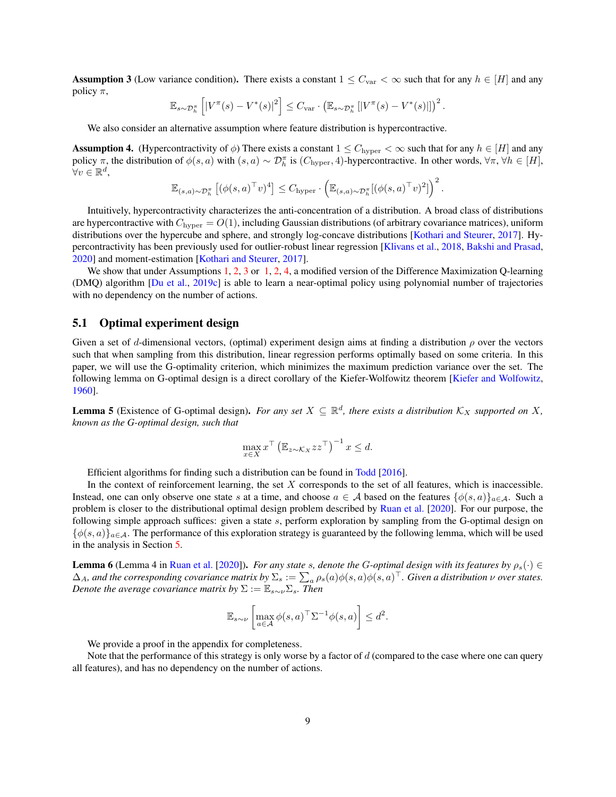<span id="page-8-0"></span>**Assumption 3** (Low variance condition). There exists a constant  $1 \leq C_{var} < \infty$  such that for any  $h \in [H]$  and any policy  $\pi$ ,

$$
\mathbb{E}_{s \sim \mathcal{D}_h^{\pi}} \left[ \left| V^{\pi}(s) - V^*(s) \right|^2 \right] \leq C_{\text{var}} \cdot \left( \mathbb{E}_{s \sim \mathcal{D}_h^{\pi}} \left[ \left| V^{\pi}(s) - V^*(s) \right| \right] \right)^2
$$

.

We also consider an alternative assumption where feature distribution is hypercontractive.

<span id="page-8-1"></span>**Assumption 4.** (Hypercontractivity of  $\phi$ ) There exists a constant  $1 \leq C_{\text{hyper}} < \infty$  such that for any  $h \in [H]$  and any policy  $\pi$ , the distribution of  $\phi(s, a)$  with  $(s, a) \sim \mathcal{D}_h^{\pi}$  is  $(C_{\text{hyper}}, 4)$ -hypercontractive. In other words,  $\forall \pi, \forall h \in [H]$ ,  $\forall v \in \mathbb{R}^d$ ,

$$
\mathbb{E}_{(s,a)\sim\mathcal{D}_h^{\pi}}\left[ (\phi(s,a)^{\top}v)^4\right] \leq C_{\text{hyper}} \cdot \left( \mathbb{E}_{(s,a)\sim\mathcal{D}_h^{\pi}}[(\phi(s,a)^{\top}v)^2]\right)^2.
$$

Intuitively, hypercontractivity characterizes the anti-concentration of a distribution. A broad class of distributions are hypercontractive with  $C_{\text{hyper}} = O(1)$ , including Gaussian distributions (of arbitrary covariance matrices), uniform distributions over the hypercube and sphere, and strongly log-concave distributions [\[Kothari and Steurer,](#page-12-8) [2017\]](#page-12-8). Hypercontractivity has been previously used for outlier-robust linear regression [\[Klivans et al.,](#page-12-13) [2018,](#page-12-13) [Bakshi and Prasad,](#page-11-6) [2020\]](#page-11-6) and moment-estimation [\[Kothari and Steurer,](#page-12-8) [2017\]](#page-12-8).

We show that under Assumptions [1,](#page-3-3) [2,](#page-3-4) [3](#page-8-0) or 1, 2, [4,](#page-8-1) a modified version of the Difference Maximization Q-learning (DMQ) algorithm [\[Du et al.,](#page-12-0) [2019c\]](#page-12-0) is able to learn a near-optimal policy using polynomial number of trajectories with no dependency on the number of actions.

#### 5.1 Optimal experiment design

Given a set of d-dimensional vectors, (optimal) experiment design aims at finding a distribution  $\rho$  over the vectors such that when sampling from this distribution, linear regression performs optimally based on some criteria. In this paper, we will use the G-optimality criterion, which minimizes the maximum prediction variance over the set. The following lemma on G-optimal design is a direct corollary of the Kiefer-Wolfowitz theorem [\[Kiefer and Wolfowitz,](#page-12-14) [1960\]](#page-12-14).

<span id="page-8-3"></span>**Lemma 5** (Existence of G-optimal design). For any set  $X \subseteq \mathbb{R}^d$ , there exists a distribution  $K_X$  supported on X, *known as the G-optimal design, such that*

$$
\max_{x \in X} x^{\top} \left( \mathbb{E}_{z \sim \mathcal{K}_X} z z^{\top} \right)^{-1} x \leq d.
$$

Efficient algorithms for finding such a distribution can be found in [Todd](#page-13-15) [\[2016\]](#page-13-15).

In the context of reinforcement learning, the set  $X$  corresponds to the set of all features, which is inaccessible. Instead, one can only observe one state s at a time, and choose  $a \in A$  based on the features  $\{\phi(s, a)\}_{a \in A}$ . Such a problem is closer to the distributional optimal design problem described by [Ruan et al.](#page-12-15) [\[2020\]](#page-12-15). For our purpose, the following simple approach suffices: given a state s, perform exploration by sampling from the G-optimal design on  $\{\phi(s, a)\}_{a \in \mathcal{A}}$ . The performance of this exploration strategy is guaranteed by the following lemma, which will be used in the analysis in Section [5.](#page-7-0)

<span id="page-8-2"></span>**Lemma 6** (Lemma 4 in [Ruan et al.](#page-12-15) [\[2020\]](#page-12-15)). *For any state* s, denote the G-optimal design with its features by  $\rho_s(\cdot) \in$  $\Delta_A$ , and the corresponding covariance matrix by  $\Sigma_s:=\sum_a\rho_s(a)\phi(s,a)\phi(s,a)^\top$ . Given a distribution  $\nu$  over states. *Denote the average covariance matrix by*  $\Sigma := \mathbb{E}_{s \sim \nu} \Sigma_s$ *. Then* 

$$
\mathbb{E}_{s \sim \nu} \left[ \max_{a \in \mathcal{A}} \phi(s, a)^\top \Sigma^{-1} \phi(s, a) \right] \le d^2.
$$

We provide a proof in the appendix for completeness.

Note that the performance of this strategy is only worse by a factor of  $d$  (compared to the case where one can query all features), and has no dependency on the number of actions.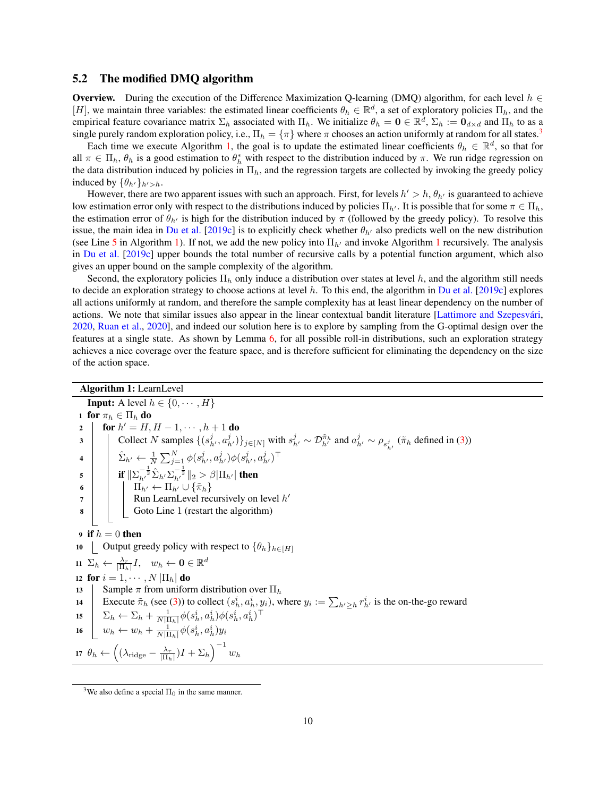#### 5.2 The modified DMQ algorithm

**Overview.** During the execution of the Difference Maximization Q-learning (DMQ) algorithm, for each level  $h \in$ [H], we maintain three variables: the estimated linear coefficients  $\theta_h \in \mathbb{R}^d$ , a set of exploratory policies  $\Pi_h$ , and the empirical feature covariance matrix  $\Sigma_h$  associated with  $\Pi_h$ . We initialize  $\theta_h = \mathbf{0} \in \mathbb{R}^d$ ,  $\Sigma_h := \mathbf{0}_{d \times d}$  and  $\Pi_h$  to as a single purely random exploration policy, i.e.,  $\Pi_h = \{\pi\}$  where  $\pi$  chooses an action uniformly at random for all states.<sup>[3](#page-9-0)</sup>

Each time we execute Algorithm [1,](#page-9-1) the goal is to update the estimated linear coefficients  $\theta_h \in \mathbb{R}^d$ , so that for all  $\pi \in \Pi_h$ ,  $\theta_h$  is a good estimation to  $\theta_h^*$  with respect to the distribution induced by  $\pi$ . We run ridge regression on the data distribution induced by policies in  $\Pi_h$ , and the regression targets are collected by invoking the greedy policy induced by  $\{\theta_{h'}\}_{h'>h}$ .

However, there are two apparent issues with such an approach. First, for levels  $h' > h$ ,  $\theta_{h'}$  is guaranteed to achieve low estimation error only with respect to the distributions induced by policies  $\Pi_{h'}$ . It is possible that for some  $\pi \in \Pi_h$ , the estimation error of  $\theta_{h'}$  is high for the distribution induced by  $\pi$  (followed by the greedy policy). To resolve this issue, the main idea in [Du et al.](#page-12-0) [\[2019c\]](#page-12-0) is to explicitly check whether  $\theta_{h'}$  also predicts well on the new distribution (see Line [5](#page-9-2) in Algorithm [1\)](#page-9-1). If not, we add the new policy into  $\Pi_{h'}$  and invoke Algorithm [1](#page-9-1) recursively. The analysis in [Du et al.](#page-12-0) [\[2019c\]](#page-12-0) upper bounds the total number of recursive calls by a potential function argument, which also gives an upper bound on the sample complexity of the algorithm.

Second, the exploratory policies  $\Pi_h$  only induce a distribution over states at level h, and the algorithm still needs to decide an exploration strategy to choose actions at level  $h$ . To this end, the algorithm in [Du et al.](#page-12-0) [\[2019c\]](#page-12-0) explores all actions uniformly at random, and therefore the sample complexity has at least linear dependency on the number of actions. We note that similar issues also appear in the linear contextual bandit literature [Lattimore and Szepesvári, [2020,](#page-12-16) [Ruan et al.,](#page-12-15) [2020\]](#page-12-15), and indeed our solution here is to explore by sampling from the G-optimal design over the features at a single state. As shown by Lemma [6,](#page-8-2) for all possible roll-in distributions, such an exploration strategy achieves a nice coverage over the feature space, and is therefore sufficient for eliminating the dependency on the size of the action space.

# <span id="page-9-2"></span><span id="page-9-1"></span><span id="page-9-0"></span>Algorithm 1: LearnLevel **Input:** A level  $h \in \{0, \dots, H\}$ 1 for  $\pi_h \in \Pi_h$  do 2 | for  $h' = H, H - 1, \cdots, h + 1$  do 3 Collect N samples  $\{(s_h^j, a_h^j)\}_{j\in[N]}$  with  $s_h^j \sim \mathcal{D}_{h'}^{\tilde{\pi}_h}$  and  $a_{h'}^j \sim \rho_{s_h^j}$  ( $\tilde{\pi}_h$  defined in [\(3\)](#page-10-1)) 4  $\hat{\Sigma}_{h'} \leftarrow \frac{1}{N}\sum_{j=1}^N \phi(s_{h'}^j, a_{h'}^j) \phi(s_{h'}^j, a_{h'}^j)^\top$ 5 if  $\|\Sigma_{h'}^{-\frac{1}{2}}\hat{\Sigma}_{h'}\Sigma_{h'}^{-\frac{1}{2}}\|_2 > \beta |\Pi_{h'}|$  then 6  $\Box$   $\Box$   $\Box$   $\Box$   $\Box$   $\Box$   $\Diamond$   $\{\tilde{\pi}_h\}$  $7 \mid$  Run LearnLevel recursively on level  $h'$ 8 Goto Line 1 (restart the algorithm) 9 if  $h = 0$  then 10 Output greedy policy with respect to  $\{\theta_h\}_{h\in[H]}$ 11  $\Sigma_h \leftarrow \frac{\lambda_r}{|\Pi_h|}I$ ,  $w_h \leftarrow \mathbf{0} \in \mathbb{R}^d$ 12 for  $i = 1, \dots, N \left| \prod_h \right|$  do 13 Sample  $\pi$  from uniform distribution over  $\Pi_h$ 14 Execute  $\tilde{\pi}_h$  (see [\(3\)](#page-10-1)) to collect  $(s_h^i, a_h^i, y_i)$ , where  $y_i := \sum_{h' \ge h} r_{h'}^i$  is the on-the-go reward 15  $\sum_h \leftarrow \sum_h + \frac{1}{N|\Pi_h|} \phi(s_h^i, a_h^i) \phi(s_h^i, a_h^i)^\top$ 16  $w_h \leftarrow w_h + \frac{1}{N|\Pi_h|} \phi(s_h^i, a_h^i) y_i$ 17  $\theta_h \leftarrow \left( (\lambda_{\text{ridge}} - \frac{\lambda_r}{|\Pi_h|})I + \Sigma_h \right)^{-1} w_h$ <sup>3</sup>We also define a special  $\Pi_0$  in the same manner.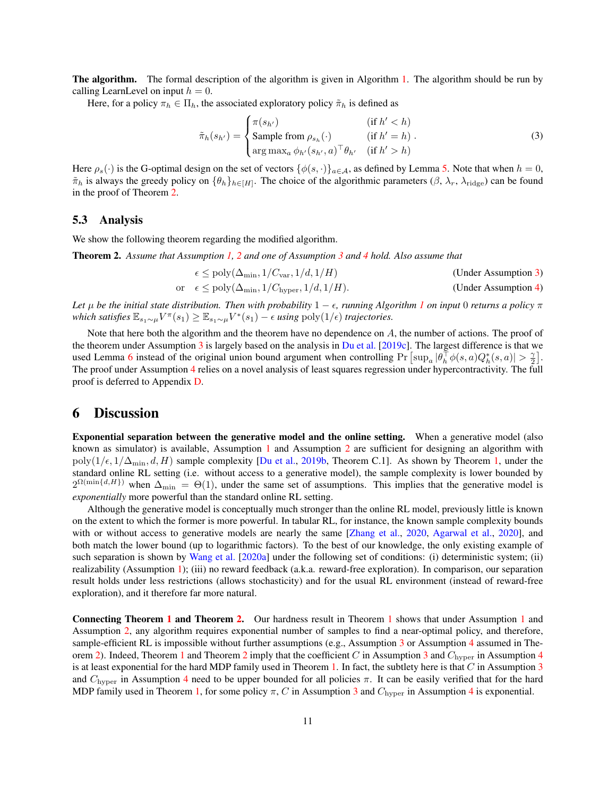**The algorithm.** The formal description of the algorithm is given in Algorithm [1.](#page-9-1) The algorithm should be run by calling LearnLevel on input  $h = 0$ .

Here, for a policy  $\pi_h \in \Pi_h$ , the associated exploratory policy  $\tilde{\pi}_h$  is defined as

<span id="page-10-1"></span>
$$
\tilde{\pi}_h(s_{h'}) = \begin{cases}\n\pi(s_{h'}) & (\text{if } h' < h) \\
\text{Sample from } \rho_{s_h}(\cdot) & (\text{if } h' = h) \\
\arg \max_a \phi_{h'}(s_{h'}, a)^\top \theta_{h'} & (\text{if } h' > h)\n\end{cases}
$$
\n(3)

Here  $\rho_s(\cdot)$  is the G-optimal design on the set of vectors  $\{\phi(s, \cdot)\}_{a \in A}$ , as defined by Lemma [5.](#page-8-3) Note that when  $h = 0$ ,  $\tilde{\pi}_h$  is always the greedy policy on  $\{\theta_h\}_{h\in[H]}$ . The choice of the algorithmic parameters  $(\beta, \lambda_r, \lambda_{\text{ridge}})$  can be found in the proof of Theorem [2.](#page-10-2)

#### 5.3 Analysis

We show the following theorem regarding the modified algorithm.

<span id="page-10-2"></span>Theorem 2. *Assume that Assumption [1,](#page-3-3) [2](#page-3-4) and one of Assumption [3](#page-8-0) and [4](#page-8-1) hold. Also assume that*

$$
\epsilon \le \text{poly}(\Delta_{\text{min}}, 1/C_{\text{var}}, 1/d, 1/H) \tag{Under Assumption 3}
$$
  
or 
$$
\epsilon \le \text{poly}(\Delta_{\text{min}}, 1/C_{\text{hyper}}, 1/d, 1/H). \tag{Under Assumption 4}
$$

*Let* µ *be the initial state distribution. Then with probability* 1 − *, running Algorithm [1](#page-9-1) on input* 0 *returns a policy* π  $\text{which satisfies } \mathbb{E}_{s_1 \sim \mu} V^{\pi}(s_1) \geq \mathbb{E}_{s_1 \sim \mu} V^*(s_1) - \epsilon \text{ using poly}(1/\epsilon) \text{ trajectories.}$ 

Note that here both the algorithm and the theorem have no dependence on A, the number of actions. The proof of the theorem under Assumption [3](#page-8-0) is largely based on the analysis in [Du et al.](#page-12-0) [\[2019c\]](#page-12-0). The largest difference is that we used Lemma [6](#page-8-2) instead of the original union bound argument when controlling Pr  $[\sup_a |\theta_h^{\dagger} \phi(s, a) Q_h^*(s, a)| > \frac{\gamma}{2}]$ . The proof under Assumption [4](#page-8-1) relies on a novel analysis of least squares regression under hypercontractivity. The full proof is deferred to Appendix [D.](#page-16-0)

### <span id="page-10-0"></span>6 Discussion

Exponential separation between the generative model and the online setting. When a generative model (also known as simulator) is available, Assumption [1](#page-3-3) and Assumption [2](#page-3-4) are sufficient for designing an algorithm with poly( $1/\epsilon$ ,  $1/\Delta_{\min}$ ,  $d$ ,  $H$ ) sample complexity [\[Du et al.,](#page-12-1) [2019b,](#page-12-1) Theorem C.1]. As shown by Theorem [1,](#page-3-0) under the standard online RL setting (i.e. without access to a generative model), the sample complexity is lower bounded by  $2^{\Omega(\min\{d,H\})}$  when  $\Delta_{\min} = \Theta(1)$ , under the same set of assumptions. This implies that the generative model is *exponentially* more powerful than the standard online RL setting.

Although the generative model is conceptually much stronger than the online RL model, previously little is known on the extent to which the former is more powerful. In tabular RL, for instance, the known sample complexity bounds with or without access to generative models are nearly the same [\[Zhang et al.,](#page-13-16) [2020,](#page-13-16) [Agarwal et al.,](#page-11-7) [2020\]](#page-11-7), and both match the lower bound (up to logarithmic factors). To the best of our knowledge, the only existing example of such separation is shown by [Wang et al.](#page-13-10) [\[2020a\]](#page-13-10) under the following set of conditions: (i) deterministic system; (ii) realizability (Assumption [1\)](#page-3-3); (iii) no reward feedback (a.k.a. reward-free exploration). In comparison, our separation result holds under less restrictions (allows stochasticity) and for the usual RL environment (instead of reward-free exploration), and it therefore far more natural.

Connecting Theorem [1](#page-3-0) and Theorem [2.](#page-10-2) Our hardness result in Theorem [1](#page-3-0) shows that under Assumption [1](#page-3-3) and Assumption [2,](#page-3-4) any algorithm requires exponential number of samples to find a near-optimal policy, and therefore, sample-efficient RL is impossible without further assumptions (e.g., Assumption [3](#page-8-0) or Assumption [4](#page-8-1) assumed in The-orem [2\)](#page-10-2). Indeed, Theorem [1](#page-3-0) and Theorem [2](#page-10-2) imply that the coefficient C in Assumption [3](#page-8-0) and  $C_{\text{hyper}}$  in Assumption [4](#page-8-1) is at least exponential for the hard MDP family used in Theorem [1.](#page-3-0) In fact, the subtlety here is that  $C$  in Assumption [3](#page-8-0) and  $C_{\text{hyper}}$  in Assumption [4](#page-8-1) need to be upper bounded for all policies  $\pi$ . It can be easily verified that for the hard MDP family used in Theorem [1,](#page-3-0) for some policy  $\pi$ , C in Assumption [3](#page-8-0) and  $C_{\text{hyper}}$  in Assumption [4](#page-8-1) is exponential.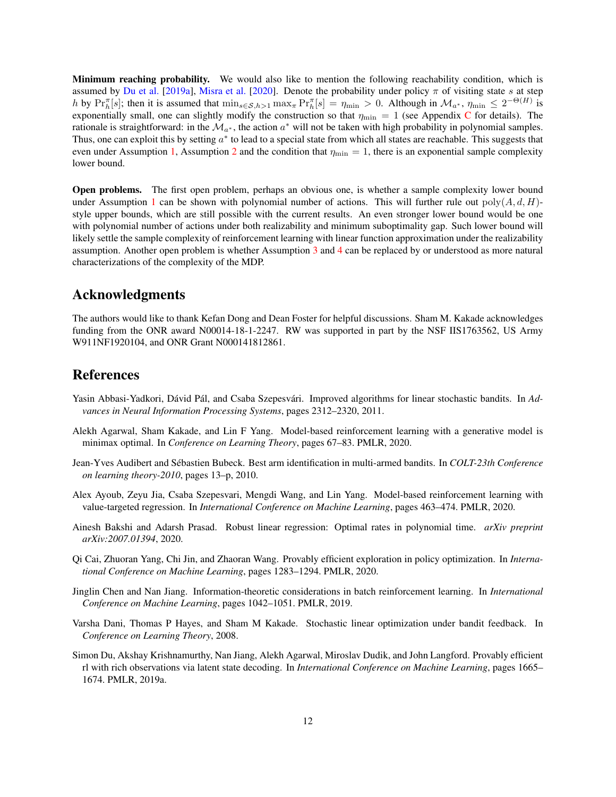Minimum reaching probability. We would also like to mention the following reachability condition, which is assumed by [Du et al.](#page-11-8) [\[2019a\]](#page-11-8), [Misra et al.](#page-12-17) [\[2020\]](#page-12-17). Denote the probability under policy  $\pi$  of visiting state s at step h by  $Pr_{h}^{\pi}[s]$ ; then it is assumed that  $\min_{s \in S, h>1} \max_{\pi} Pr_{h}^{\pi}[s] = \eta_{\min} > 0$ . Although in  $\mathcal{M}_{a^*}, \eta_{\min} \leq 2^{-\Theta(H)}$  is exponentially small, one can slightly modify the construction so that  $\eta_{\text{min}} = 1$  (see Appendix [C](#page-16-1) for details). The rationale is straightforward: in the  $\mathcal{M}_{a^*}$ , the action  $a^*$  will not be taken with high probability in polynomial samples. Thus, one can exploit this by setting  $a^*$  to lead to a special state from which all states are reachable. This suggests that even under Assumption [1,](#page-3-3) Assumption [2](#page-3-4) and the condition that  $\eta_{\rm min} = 1$ , there is an exponential sample complexity lower bound.

Open problems. The first open problem, perhaps an obvious one, is whether a sample complexity lower bound under Assumption [1](#page-3-3) can be shown with polynomial number of actions. This will further rule out  $poly(A, d, H)$ style upper bounds, which are still possible with the current results. An even stronger lower bound would be one with polynomial number of actions under both realizability and minimum suboptimality gap. Such lower bound will likely settle the sample complexity of reinforcement learning with linear function approximation under the realizability assumption. Another open problem is whether Assumption [3](#page-8-0) and [4](#page-8-1) can be replaced by or understood as more natural characterizations of the complexity of the MDP.

# Acknowledgments

The authors would like to thank Kefan Dong and Dean Foster for helpful discussions. Sham M. Kakade acknowledges funding from the ONR award N00014-18-1-2247. RW was supported in part by the NSF IIS1763562, US Army W911NF1920104, and ONR Grant N000141812861.

# **References**

- <span id="page-11-4"></span>Yasin Abbasi-Yadkori, Dávid Pál, and Csaba Szepesvári. Improved algorithms for linear stochastic bandits. In *Advances in Neural Information Processing Systems*, pages 2312–2320, 2011.
- <span id="page-11-7"></span>Alekh Agarwal, Sham Kakade, and Lin F Yang. Model-based reinforcement learning with a generative model is minimax optimal. In *Conference on Learning Theory*, pages 67–83. PMLR, 2020.
- <span id="page-11-3"></span>Jean-Yves Audibert and Sebastien Bubeck. Best arm identification in multi-armed bandits. In ´ *COLT-23th Conference on learning theory-2010*, pages 13–p, 2010.
- <span id="page-11-1"></span>Alex Ayoub, Zeyu Jia, Csaba Szepesvari, Mengdi Wang, and Lin Yang. Model-based reinforcement learning with value-targeted regression. In *International Conference on Machine Learning*, pages 463–474. PMLR, 2020.
- <span id="page-11-6"></span>Ainesh Bakshi and Adarsh Prasad. Robust linear regression: Optimal rates in polynomial time. *arXiv preprint arXiv:2007.01394*, 2020.
- <span id="page-11-0"></span>Qi Cai, Zhuoran Yang, Chi Jin, and Zhaoran Wang. Provably efficient exploration in policy optimization. In *International Conference on Machine Learning*, pages 1283–1294. PMLR, 2020.
- <span id="page-11-5"></span>Jinglin Chen and Nan Jiang. Information-theoretic considerations in batch reinforcement learning. In *International Conference on Machine Learning*, pages 1042–1051. PMLR, 2019.
- <span id="page-11-2"></span>Varsha Dani, Thomas P Hayes, and Sham M Kakade. Stochastic linear optimization under bandit feedback. In *Conference on Learning Theory*, 2008.
- <span id="page-11-8"></span>Simon Du, Akshay Krishnamurthy, Nan Jiang, Alekh Agarwal, Miroslav Dudik, and John Langford. Provably efficient rl with rich observations via latent state decoding. In *International Conference on Machine Learning*, pages 1665– 1674. PMLR, 2019a.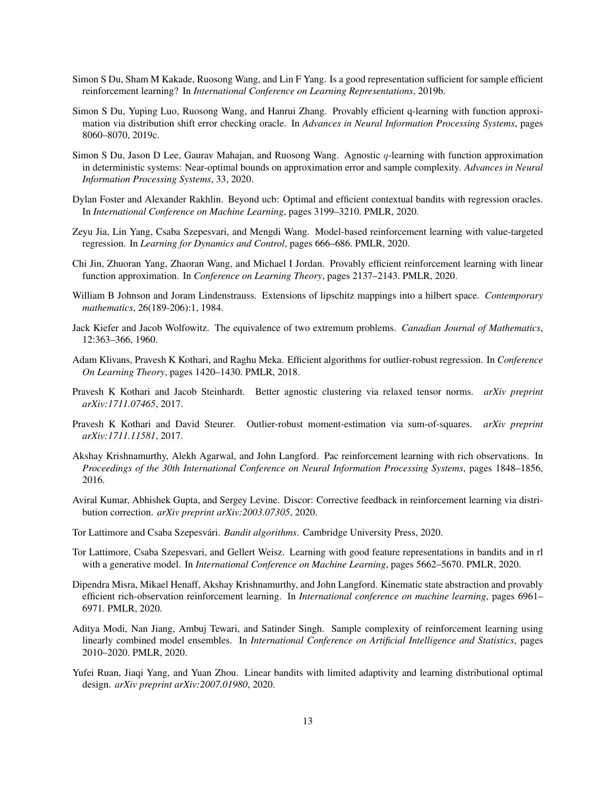- <span id="page-12-1"></span>Simon S Du, Sham M Kakade, Ruosong Wang, and Lin F Yang. Is a good representation sufficient for sample efficient reinforcement learning? In *International Conference on Learning Representations*, 2019b.
- <span id="page-12-0"></span>Simon S Du, Yuping Luo, Ruosong Wang, and Hanrui Zhang. Provably efficient q-learning with function approximation via distribution shift error checking oracle. In *Advances in Neural Information Processing Systems*, pages 8060–8070, 2019c.
- <span id="page-12-4"></span>Simon S Du, Jason D Lee, Gaurav Mahajan, and Ruosong Wang. Agnostic q-learning with function approximation in deterministic systems: Near-optimal bounds on approximation error and sample complexity. *Advances in Neural Information Processing Systems*, 33, 2020.
- <span id="page-12-12"></span>Dylan Foster and Alexander Rakhlin. Beyond ucb: Optimal and efficient contextual bandits with regression oracles. In *International Conference on Machine Learning*, pages 3199–3210. PMLR, 2020.
- <span id="page-12-6"></span>Zeyu Jia, Lin Yang, Csaba Szepesvari, and Mengdi Wang. Model-based reinforcement learning with value-targeted regression. In *Learning for Dynamics and Control*, pages 666–686. PMLR, 2020.
- <span id="page-12-3"></span>Chi Jin, Zhuoran Yang, Zhaoran Wang, and Michael I Jordan. Provably efficient reinforcement learning with linear function approximation. In *Conference on Learning Theory*, pages 2137–2143. PMLR, 2020.
- <span id="page-12-10"></span>William B Johnson and Joram Lindenstrauss. Extensions of lipschitz mappings into a hilbert space. *Contemporary mathematics*, 26(189-206):1, 1984.
- <span id="page-12-14"></span>Jack Kiefer and Jacob Wolfowitz. The equivalence of two extremum problems. *Canadian Journal of Mathematics*, 12:363–366, 1960.
- <span id="page-12-13"></span>Adam Klivans, Pravesh K Kothari, and Raghu Meka. Efficient algorithms for outlier-robust regression. In *Conference On Learning Theory*, pages 1420–1430. PMLR, 2018.
- <span id="page-12-7"></span>Pravesh K Kothari and Jacob Steinhardt. Better agnostic clustering via relaxed tensor norms. *arXiv preprint arXiv:1711.07465*, 2017.
- <span id="page-12-8"></span>Pravesh K Kothari and David Steurer. Outlier-robust moment-estimation via sum-of-squares. *arXiv preprint arXiv:1711.11581*, 2017.
- <span id="page-12-9"></span>Akshay Krishnamurthy, Alekh Agarwal, and John Langford. Pac reinforcement learning with rich observations. In *Proceedings of the 30th International Conference on Neural Information Processing Systems*, pages 1848–1856, 2016.
- <span id="page-12-11"></span>Aviral Kumar, Abhishek Gupta, and Sergey Levine. Discor: Corrective feedback in reinforcement learning via distribution correction. *arXiv preprint arXiv:2003.07305*, 2020.
- <span id="page-12-16"></span>Tor Lattimore and Csaba Szepesvári. *Bandit algorithms*. Cambridge University Press, 2020.
- <span id="page-12-2"></span>Tor Lattimore, Csaba Szepesvari, and Gellert Weisz. Learning with good feature representations in bandits and in rl with a generative model. In *International Conference on Machine Learning*, pages 5662–5670. PMLR, 2020.
- <span id="page-12-17"></span>Dipendra Misra, Mikael Henaff, Akshay Krishnamurthy, and John Langford. Kinematic state abstraction and provably efficient rich-observation reinforcement learning. In *International conference on machine learning*, pages 6961– 6971. PMLR, 2020.
- <span id="page-12-5"></span>Aditya Modi, Nan Jiang, Ambuj Tewari, and Satinder Singh. Sample complexity of reinforcement learning using linearly combined model ensembles. In *International Conference on Artificial Intelligence and Statistics*, pages 2010–2020. PMLR, 2020.
- <span id="page-12-15"></span>Yufei Ruan, Jiaqi Yang, and Yuan Zhou. Linear bandits with limited adaptivity and learning distributional optimal design. *arXiv preprint arXiv:2007.01980*, 2020.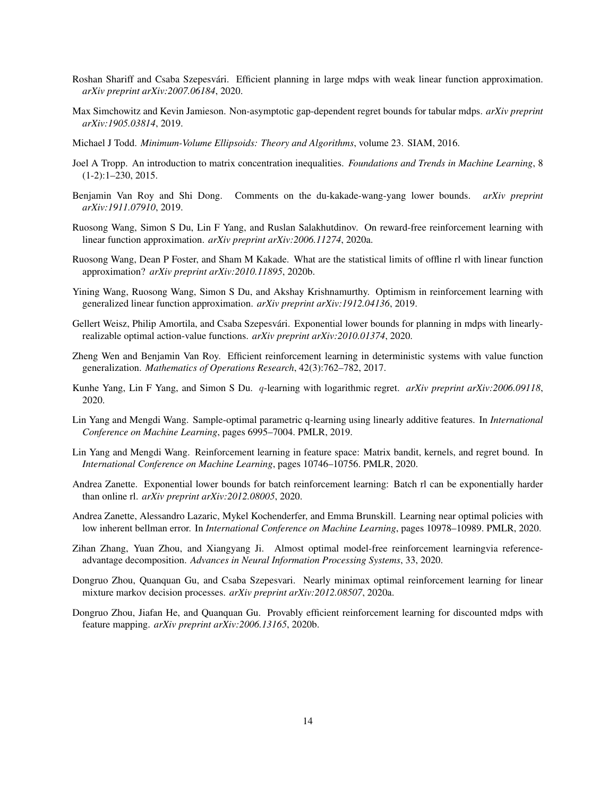- <span id="page-13-14"></span>Roshan Shariff and Csaba Szepesvári. Efficient planning in large mdps with weak linear function approximation. *arXiv preprint arXiv:2007.06184*, 2020.
- <span id="page-13-8"></span>Max Simchowitz and Kevin Jamieson. Non-asymptotic gap-dependent regret bounds for tabular mdps. *arXiv preprint arXiv:1905.03814*, 2019.
- <span id="page-13-15"></span>Michael J Todd. *Minimum-Volume Ellipsoids: Theory and Algorithms*, volume 23. SIAM, 2016.
- <span id="page-13-17"></span>Joel A Tropp. An introduction to matrix concentration inequalities. *Foundations and Trends in Machine Learning*, 8 (1-2):1–230, 2015.
- <span id="page-13-11"></span>Benjamin Van Roy and Shi Dong. Comments on the du-kakade-wang-yang lower bounds. *arXiv preprint arXiv:1911.07910*, 2019.
- <span id="page-13-10"></span>Ruosong Wang, Simon S Du, Lin F Yang, and Ruslan Salakhutdinov. On reward-free reinforcement learning with linear function approximation. *arXiv preprint arXiv:2006.11274*, 2020a.
- <span id="page-13-12"></span>Ruosong Wang, Dean P Foster, and Sham M Kakade. What are the statistical limits of offline rl with linear function approximation? *arXiv preprint arXiv:2010.11895*, 2020b.
- <span id="page-13-1"></span>Yining Wang, Ruosong Wang, Simon S Du, and Akshay Krishnamurthy. Optimism in reinforcement learning with generalized linear function approximation. *arXiv preprint arXiv:1912.04136*, 2019.
- <span id="page-13-5"></span>Gellert Weisz, Philip Amortila, and Csaba Szepesvári. Exponential lower bounds for planning in mdps with linearlyrealizable optimal action-value functions. *arXiv preprint arXiv:2010.01374*, 2020.
- <span id="page-13-0"></span>Zheng Wen and Benjamin Van Roy. Efficient reinforcement learning in deterministic systems with value function generalization. *Mathematics of Operations Research*, 42(3):762–782, 2017.
- <span id="page-13-9"></span>Kunhe Yang, Lin F Yang, and Simon S Du. q-learning with logarithmic regret. *arXiv preprint arXiv:2006.09118*, 2020.
- <span id="page-13-2"></span>Lin Yang and Mengdi Wang. Sample-optimal parametric q-learning using linearly additive features. In *International Conference on Machine Learning*, pages 6995–7004. PMLR, 2019.
- <span id="page-13-3"></span>Lin Yang and Mengdi Wang. Reinforcement learning in feature space: Matrix bandit, kernels, and regret bound. In *International Conference on Machine Learning*, pages 10746–10756. PMLR, 2020.
- <span id="page-13-13"></span>Andrea Zanette. Exponential lower bounds for batch reinforcement learning: Batch rl can be exponentially harder than online rl. *arXiv preprint arXiv:2012.08005*, 2020.
- <span id="page-13-4"></span>Andrea Zanette, Alessandro Lazaric, Mykel Kochenderfer, and Emma Brunskill. Learning near optimal policies with low inherent bellman error. In *International Conference on Machine Learning*, pages 10978–10989. PMLR, 2020.
- <span id="page-13-16"></span>Zihan Zhang, Yuan Zhou, and Xiangyang Ji. Almost optimal model-free reinforcement learningvia referenceadvantage decomposition. *Advances in Neural Information Processing Systems*, 33, 2020.
- <span id="page-13-7"></span>Dongruo Zhou, Quanquan Gu, and Csaba Szepesvari. Nearly minimax optimal reinforcement learning for linear mixture markov decision processes. *arXiv preprint arXiv:2012.08507*, 2020a.
- <span id="page-13-6"></span>Dongruo Zhou, Jiafan He, and Quanquan Gu. Provably efficient reinforcement learning for discounted mdps with feature mapping. *arXiv preprint arXiv:2006.13165*, 2020b.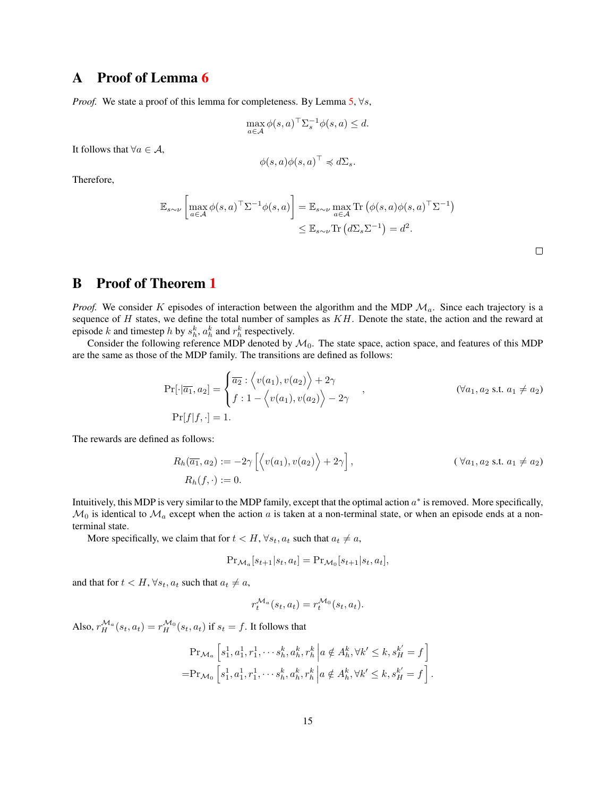# A Proof of Lemma [6](#page-8-2)

*Proof.* We state a proof of this lemma for completeness. By Lemma [5,](#page-8-3)  $\forall s$ ,

$$
\max_{a \in \mathcal{A}} \phi(s, a)^\top \Sigma_s^{-1} \phi(s, a) \le d.
$$

It follows that  $\forall a \in \mathcal{A}$ ,

$$
\phi(s,a)\phi(s,a)^\top \preccurlyeq d\Sigma_s.
$$

Therefore,

$$
\mathbb{E}_{s \sim \nu} \left[ \max_{a \in \mathcal{A}} \phi(s, a)^\top \Sigma^{-1} \phi(s, a) \right] = \mathbb{E}_{s \sim \nu} \max_{a \in \mathcal{A}} \text{Tr} \left( \phi(s, a) \phi(s, a)^\top \Sigma^{-1} \right) \leq \mathbb{E}_{s \sim \nu} \text{Tr} \left( d \Sigma_s \Sigma^{-1} \right) = d^2.
$$

 $\hfill \square$ 

# <span id="page-14-0"></span>B Proof of Theorem [1](#page-3-0)

*Proof.* We consider K episodes of interaction between the algorithm and the MDP  $\mathcal{M}_a$ . Since each trajectory is a sequence of  $H$  states, we define the total number of samples as  $KH$ . Denote the state, the action and the reward at episode k and timestep h by  $s_h^k$ ,  $a_h^k$  and  $r_h^k$  respectively.

Consider the following reference MDP denoted by  $\mathcal{M}_0$ . The state space, action space, and features of this MDP are the same as those of the MDP family. The transitions are defined as follows:

$$
\Pr[\cdot|\overline{a_1}, a_2] = \begin{cases} \overline{a_2} : \langle v(a_1), v(a_2) \rangle + 2\gamma \\ f : 1 - \langle v(a_1), v(a_2) \rangle - 2\gamma \end{cases}, \quad (\forall a_1, a_2 \text{ s.t. } a_1 \neq a_2)
$$
  

$$
\Pr[f|f, \cdot] = 1.
$$

The rewards are defined as follows:

$$
R_h(\overline{a_1}, a_2) := -2\gamma \left[ \left\langle v(a_1), v(a_2) \right\rangle + 2\gamma \right], \qquad (\forall a_1, a_2 \text{ s.t. } a_1 \neq a_2)
$$
  

$$
R_h(f, \cdot) := 0.
$$

Intuitively, this MDP is very similar to the MDP family, except that the optimal action  $a^*$  is removed. More specifically,  $M_0$  is identical to  $M_a$  except when the action a is taken at a non-terminal state, or when an episode ends at a nonterminal state.

More specifically, we claim that for  $t < H$ ,  $\forall s_t, a_t$  such that  $a_t \neq a$ ,

$$
\Pr_{\mathcal{M}_a}[s_{t+1}|s_t, a_t] = \Pr_{\mathcal{M}_0}[s_{t+1}|s_t, a_t],
$$

and that for  $t < H$ ,  $\forall s_t, a_t$  such that  $a_t \neq a$ ,

$$
r_t^{\mathcal{M}_a}(s_t, a_t) = r_t^{\mathcal{M}_0}(s_t, a_t).
$$

Also,  $r_H^{\mathcal{M}_a}(s_t, a_t) = r_H^{\mathcal{M}_0}(s_t, a_t)$  if  $s_t = f$ . It follows that

$$
\Pr_{\mathcal{M}_a} \left[ s_1^1, a_1^1, r_1^1, \cdots s_h^k, a_h^k, r_h^k \, \middle| \, a \notin A_h^k, \forall k' \le k, s_H^{k'} = f \right] \n= \Pr_{\mathcal{M}_0} \left[ s_1^1, a_1^1, r_1^1, \cdots s_h^k, a_h^k, r_h^k \, \middle| \, a \notin A_h^k, \forall k' \le k, s_H^{k'} = f \right].
$$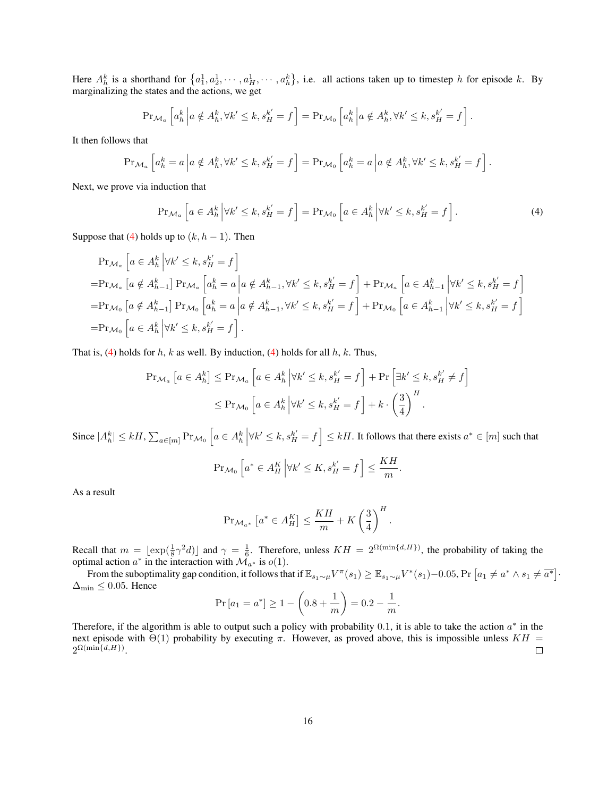Here  $A_h^k$  is a shorthand for  $\{a_1^1, a_2^1, \cdots, a_H^1, \cdots, a_h^k\}$ , i.e. all actions taken up to timestep h for episode k. By marginalizing the states and the actions, we get

$$
\Pr_{\mathcal{M}_a} \left[ a_h^k \left| a \notin A_h^k, \forall k' \le k, s_H^{k'} = f \right] = \Pr_{\mathcal{M}_0} \left[ a_h^k \left| a \notin A_h^k, \forall k' \le k, s_H^{k'} = f \right] \right].
$$

It then follows that

$$
\Pr_{\mathcal{M}_a} \left[ a_h^k = a \, \middle| a \notin A_h^k, \forall k' \le k, s_H^{k'} = f \right] = \Pr_{\mathcal{M}_0} \left[ a_h^k = a \, \middle| a \notin A_h^k, \forall k' \le k, s_H^{k'} = f \right].
$$

Next, we prove via induction that

<span id="page-15-0"></span>
$$
\Pr_{\mathcal{M}_a} \left[ a \in A_h^k \, \middle| \, \forall k' \le k, s_H^{k'} = f \right] = \Pr_{\mathcal{M}_0} \left[ a \in A_h^k \, \middle| \, \forall k' \le k, s_H^{k'} = f \right]. \tag{4}
$$

Suppose that [\(4\)](#page-15-0) holds up to  $(k, h - 1)$ . Then

$$
\Pr_{\mathcal{M}_a} \left[ a \in A_h^k \middle| \forall k' \le k, s_H^{k'} = f \right]
$$
\n
$$
= \Pr_{\mathcal{M}_a} \left[ a \notin A_{h-1}^k \right] \Pr_{\mathcal{M}_a} \left[ a_h^k = a \middle| a \notin A_{h-1}^k, \forall k' \le k, s_H^{k'} = f \right] + \Pr_{\mathcal{M}_a} \left[ a \in A_{h-1}^k \middle| \forall k' \le k, s_H^{k'} = f \right]
$$
\n
$$
= \Pr_{\mathcal{M}_0} \left[ a \notin A_{h-1}^k \right] \Pr_{\mathcal{M}_0} \left[ a_h^k = a \middle| a \notin A_{h-1}^k, \forall k' \le k, s_H^{k'} = f \right] + \Pr_{\mathcal{M}_0} \left[ a \in A_{h-1}^k \middle| \forall k' \le k, s_H^{k'} = f \right]
$$
\n
$$
= \Pr_{\mathcal{M}_0} \left[ a \in A_h^k \middle| \forall k' \le k, s_H^{k'} = f \right].
$$

That is, [\(4\)](#page-15-0) holds for h, k as well. By induction, (4) holds for all  $h$ , k. Thus,

$$
\begin{aligned} \Pr_{\mathcal{M}_a} \left[ a \in A_h^k \right] &\leq \Pr_{\mathcal{M}_a} \left[ a \in A_h^k \, \middle| \forall k' \leq k, s_H^{k'} = f \right] + \Pr \left[ \exists k' \leq k, s_H^{k'} \neq f \right] \\ &\leq \Pr_{\mathcal{M}_0} \left[ a \in A_h^k \, \middle| \forall k' \leq k, s_H^{k'} = f \right] + k \cdot \left( \frac{3}{4} \right)^H. \end{aligned}
$$

Since  $|A_h^k| \leq kH$ ,  $\sum_{a \in [m]} Pr_{\mathcal{M}_0} \left[ a \in A_h^k \middle| \forall k' \leq k, s_H^{k'} = f \right] \leq kH$ . It follows that there exists  $a^* \in [m]$  such that

$$
\Pr_{\mathcal{M}_0} \left[ a^* \in A_H^K \, \middle| \forall k' \le K, s_H^{k'} = f \right] \le \frac{KH}{m}.
$$

As a result

$$
\Pr_{\mathcal{M}_{a^*}}\left[a^* \in A_H^K\right] \le \frac{KH}{m} + K\left(\frac{3}{4}\right)^H.
$$

Recall that  $m = \lfloor \exp(\frac{1}{8}\gamma^2 d) \rfloor$  and  $\gamma = \frac{1}{6}$ . Therefore, unless  $KH = 2^{\Omega(\min\{d,H\})}$ , the probability of taking the optimal action  $a^*$  in the interaction with  $\mathcal{M}_{a^*}$  is  $o(1)$ .

From the suboptimality gap condition, it follows that if  $\mathbb{E}_{s_1 \sim \mu} V^{\pi}(s_1) \geq \mathbb{E}_{s_1 \sim \mu} V^*(s_1) - 0.05$ ,  $\Pr\left[a_1 \neq a^* \land s_1 \neq \overline{a^*}\right]$ .  $\Delta_{\text{min}}$  ≤ 0.05. Hence

$$
Pr[a_1 = a^*] \ge 1 - \left(0.8 + \frac{1}{m}\right) = 0.2 - \frac{1}{m}.
$$

Therefore, if the algorithm is able to output such a policy with probability 0.1, it is able to take the action  $a^*$  in the next episode with  $Θ(1)$  probability by executing π. However, as proved above, this is impossible unless  $KH =$  $2^{\Omega(\min\{d,H\})}.$  $\Box$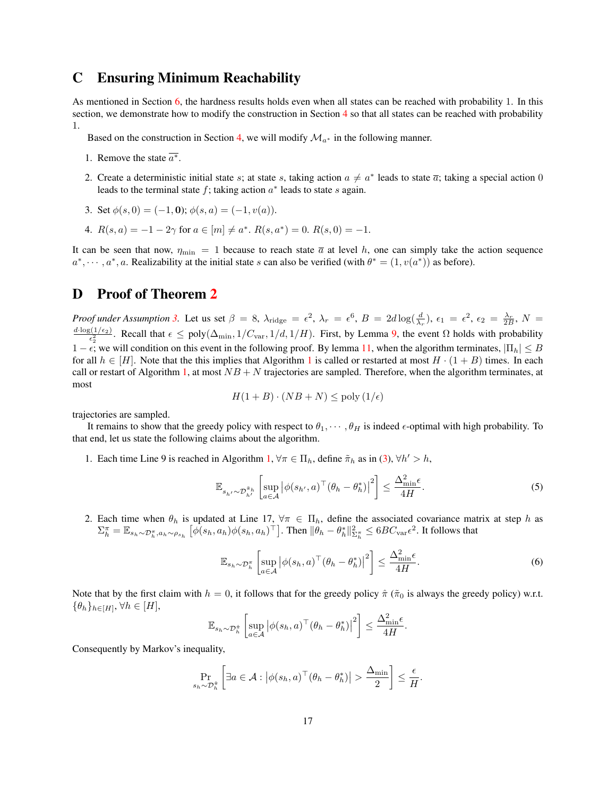# <span id="page-16-1"></span>C Ensuring Minimum Reachability

As mentioned in Section [6,](#page-10-0) the hardness results holds even when all states can be reached with probability 1. In this section, we demonstrate how to modify the construction in Section [4](#page-3-1) so that all states can be reached with probability 1.

Based on the construction in Section [4,](#page-3-1) we will modify  $\mathcal{M}_{a^*}$  in the following manner.

- 1. Remove the state  $\overline{a^*}$ .
- 2. Create a deterministic initial state s; at state s, taking action  $a \neq a^*$  leads to state  $\overline{a}$ ; taking a special action 0 leads to the terminal state  $f$ ; taking action  $a^*$  leads to state  $s$  again.
- 3. Set  $\phi(s, 0) = (-1, 0)$ ;  $\phi(s, a) = (-1, v(a))$ .
- 4.  $R(s, a) = -1 2\gamma$  for  $a \in [m] \neq a^*$ .  $R(s, a^*) = 0$ .  $R(s, 0) = -1$ .

It can be seen that now,  $\eta_{\min} = 1$  because to reach state  $\bar{a}$  at level h, one can simply take the action sequence  $a^*, \dots, a^*, a$ . Realizability at the initial state s can also be verified (with  $\theta^* = (1, v(a^*))$  as before).

# <span id="page-16-0"></span>D Proof of Theorem [2](#page-10-2)

*Proof under Assumption* [3.](#page-8-0) Let us set  $\beta = 8$ ,  $\lambda_{\text{ridge}} = \epsilon^2$ ,  $\lambda_r = \epsilon^6$ ,  $B = 2d \log(\frac{d}{\lambda_r})$ ,  $\epsilon_1 = \epsilon^2$ ,  $\epsilon_2 = \frac{\lambda_r}{2B}$ ,  $N =$  $\frac{d \cdot \log(1/\epsilon_2)}{\epsilon_2^2}$ . Recall that  $\epsilon \le \text{poly}(\Delta_{\min}, 1/C_{\text{var}}, 1/d, 1/H)$ . First, by Lemma [9,](#page-20-0) the event  $\Omega$  holds with probability  $1 - \epsilon$ ; we will condition on this event in the following proof. By lemma [11,](#page-21-0) when the algorithm terminates,  $|\Pi_h| \leq B$ for all  $h \in [H]$ . Note that the this implies that Algorithm [1](#page-9-1) is called or restarted at most  $H \cdot (1 + B)$  times. In each call or restart of Algorithm [1,](#page-9-1) at most  $NB + N$  trajectories are sampled. Therefore, when the algorithm terminates, at most

$$
H(1+B) \cdot (NB+N) \le \text{poly}(1/\epsilon)
$$

trajectories are sampled.

It remains to show that the greedy policy with respect to  $\theta_1, \dots, \theta_H$  is indeed  $\epsilon$ -optimal with high probability. To that end, let us state the following claims about the algorithm.

1. Each time Line 9 is reached in Algorithm [1,](#page-9-1)  $\forall \pi \in \Pi_h$ , define  $\tilde{\pi}_h$  as in [\(3\)](#page-10-1),  $\forall h' > h$ ,

<span id="page-16-3"></span>
$$
\mathbb{E}_{s_{h'} \sim \mathcal{D}_{h'}^{\tilde{\pi}_h}} \left[ \sup_{a \in \mathcal{A}} \left| \phi(s_{h'}, a)^\top (\theta_h - \theta_h^*) \right|^2 \right] \le \frac{\Delta_{\min}^2 \epsilon}{4H}.
$$
 (5)

2. Each time when  $\theta_h$  is updated at Line 17,  $\forall \pi \in \Pi_h$ , define the associated covariance matrix at step h as  $\Sigma_h^{\pi} = \mathbb{E}_{s_h \sim \mathcal{D}_h^{\pi}, a_h \sim \rho_{s_h}} \left[ \phi(s_h, a_h) \phi(s_h, a_h)^\top \right]$ . Then  $\|\theta_h - \theta_h^*\|_{\Sigma_h^{\pi}}^2 \leq 6BC_{\text{var}} \epsilon^2$ . It follows that

<span id="page-16-2"></span>
$$
\mathbb{E}_{s_h \sim \mathcal{D}_h^{\pi}} \left[ \sup_{a \in \mathcal{A}} \left| \phi(s_h, a)^\top (\theta_h - \theta_h^*) \right|^2 \right] \le \frac{\Delta_{\min}^2 \epsilon}{4H}.
$$
 (6)

Note that by the first claim with  $h = 0$ , it follows that for the greedy policy  $\hat{\pi}$  ( $\tilde{\pi}_0$  is always the greedy policy) w.r.t.  $\{\theta_h\}_{h\in[H]}, \forall h\in[H],$ 

$$
\mathbb{E}_{s_h \sim \mathcal{D}_h^*} \left[ \sup_{a \in \mathcal{A}} \left| \phi(s_h, a)^\top (\theta_h - \theta_h^*) \right|^2 \right] \le \frac{\Delta_{\min}^2 \epsilon}{4H}.
$$

Consequently by Markov's inequality,

$$
\Pr_{s_h \sim \mathcal{D}_h^{\hat{\pi}}} \left[ \exists a \in \mathcal{A} : \left| \phi(s_h, a)^\top (\theta_h - \theta_h^*) \right| > \frac{\Delta_{\min}}{2} \right] \leq \frac{\epsilon}{H}.
$$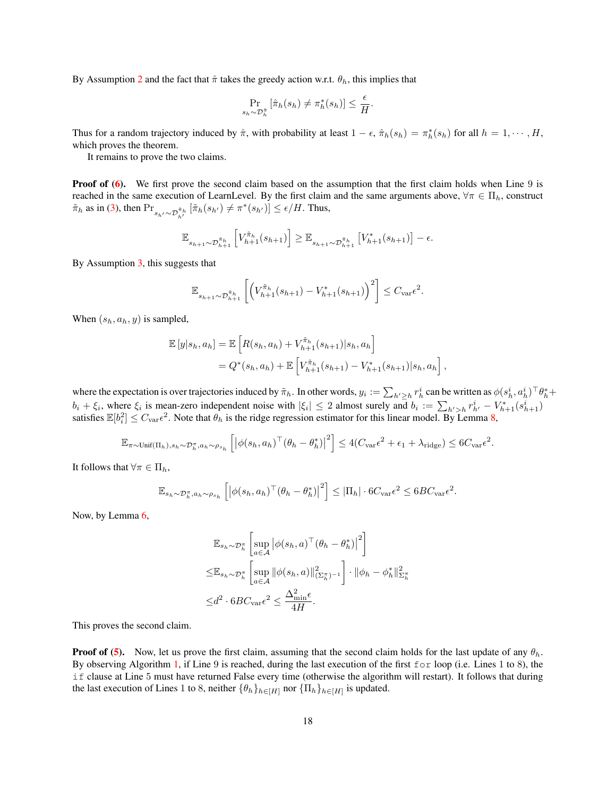By Assumption [2](#page-3-4) and the fact that  $\hat{\pi}$  takes the greedy action w.r.t.  $\theta_h$ , this implies that

$$
\Pr_{s_h \sim \mathcal{D}_h^{\hat{\pi}}} \left[ \hat{\pi}_h(s_h) \neq \pi_h^*(s_h) \right] \leq \frac{\epsilon}{H}.
$$

Thus for a random trajectory induced by  $\hat{\pi}$ , with probability at least  $1 - \epsilon$ ,  $\hat{\pi}_h(s_h) = \pi_h^*(s_h)$  for all  $h = 1, \dots, H$ , which proves the theorem.

It remains to prove the two claims.

**Proof of [\(6\)](#page-16-2).** We first prove the second claim based on the assumption that the first claim holds when Line 9 is reached in the same execution of LearnLevel. By the first claim and the same arguments above,  $\forall \pi \in \Pi_h$ , construct  $\tilde{\pi}_h$  as in [\(3\)](#page-10-1), then  $Pr_{s_{h'} \sim \mathcal{D}_{h'}^{\tilde{\pi}_h}} [\tilde{\pi}_h(s_{h'}) \neq \pi^*(s_{h'})] \leq \epsilon / H$ . Thus,

$$
\mathbb{E}_{s_{h+1}\sim\mathcal{D}_{h+1}^{\tilde{\pi}_h}}\left[V_{h+1}^{\tilde{\pi}_h}(s_{h+1})\right] \geq \mathbb{E}_{s_{h+1}\sim\mathcal{D}_{h+1}^{\tilde{\pi}_h}}\left[V_{h+1}^*(s_{h+1})\right] - \epsilon.
$$

By Assumption [3,](#page-8-0) this suggests that

$$
\mathbb{E}_{s_{h+1}\sim \mathcal{D}_{h+1}^{\tilde{\pi}_h}}\left[ \left( V_{h+1}^{\tilde{\pi}_h}(s_{h+1}) - V_{h+1}^*(s_{h+1}) \right)^2 \right] \leq C_{\text{var}} \epsilon^2.
$$

When  $(s_h, a_h, y)$  is sampled,

$$
\mathbb{E}[y|s_h, a_h] = \mathbb{E}\left[R(s_h, a_h) + V_{h+1}^{\tilde{\pi}_h}(s_{h+1})|s_h, a_h\right]
$$
  
=  $Q^*(s_h, a_h) + \mathbb{E}\left[V_{h+1}^{\tilde{\pi}_h}(s_{h+1}) - V_{h+1}^*(s_{h+1})|s_h, a_h\right],$ 

where the expectation is over trajectories induced by  $\tilde{\pi}_h$ . In other words,  $y_i := \sum_{h' \geq h} r_h^i$  can be written as  $\phi(s_h^i, a_h^i)^\top \theta_h^* +$  $b_i + \xi_i$ , where  $\xi_i$  is mean-zero independent noise with  $|\xi_i| \leq 2$  almost surely and  $b_i := \sum_{h'>h} r_{h'}^i - V_{h+1}^*(s_{h+1}^i)$ satisfies  $\mathbb{E}[b_i^2] \leq C_{\text{var}} \epsilon^2$ . Note that  $\theta_h$  is the ridge regression estimator for this linear model. By Lemma [8,](#page-20-1)

$$
\mathbb{E}_{\pi \sim \text{Unif}(\Pi_h), s_h \sim \mathcal{D}_h^{\pi}, a_h \sim \rho_{s_h}} \left[ \left| \phi(s_h, a_h)^\top (\theta_h - \theta_h^*) \right|^2 \right] \le 4(C_{\text{var}} \epsilon^2 + \epsilon_1 + \lambda_{\text{ridge}}) \le 6C_{\text{var}} \epsilon^2.
$$

It follows that  $\forall \pi \in \Pi_h$ ,

$$
\mathbb{E}_{s_h \sim \mathcal{D}_h^{\pi}, a_h \sim \rho_{s_h}} \left[ \left| \phi(s_h, a_h)^\top (\theta_h - \theta_h^*) \right|^2 \right] \leq |\Pi_h| \cdot 6C_{\text{var}} \epsilon^2 \leq 6BC_{\text{var}} \epsilon^2.
$$

Now, by Lemma [6,](#page-8-2)

$$
\mathbb{E}_{s_h \sim \mathcal{D}_h^{\pi}} \left[ \sup_{a \in \mathcal{A}} \left| \phi(s_h, a)^{\top} (\theta_h - \theta_h^*) \right|^2 \right]
$$
  

$$
\leq \mathbb{E}_{s_h \sim \mathcal{D}_h^{\pi}} \left[ \sup_{a \in \mathcal{A}} \left\| \phi(s_h, a) \right\|_{(\Sigma_h^{\pi})^{-1}}^2 \right] \cdot \left\| \phi_h - \phi_h^* \right\|_{\Sigma_h^{\pi}}^2
$$
  

$$
\leq d^2 \cdot 6BC_{\text{var}} \epsilon^2 \leq \frac{\Delta_{\min}^2 \epsilon}{4H}.
$$

This proves the second claim.

**Proof of [\(5\)](#page-16-3).** Now, let us prove the first claim, assuming that the second claim holds for the last update of any  $\theta_h$ . By observing Algorithm [1,](#page-9-1) if Line 9 is reached, during the last execution of the first  $f \circ r$  loop (i.e. Lines 1 to 8), the if clause at Line 5 must have returned False every time (otherwise the algorithm will restart). It follows that during the last execution of Lines 1 to 8, neither  $\{\theta_h\}_{h\in[H]}$  nor  $\{\Pi_h\}_{h\in[H]}$  is updated.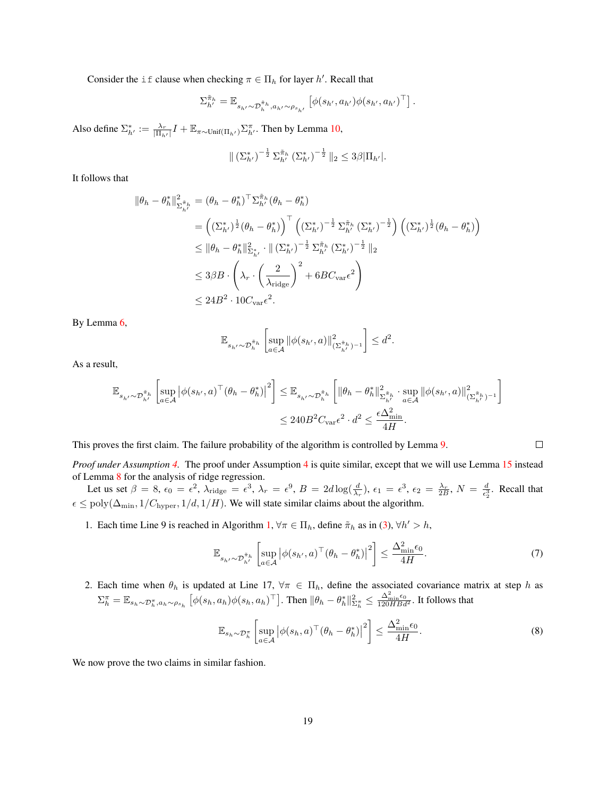Consider the if clause when checking  $\pi \in \Pi_h$  for layer h'. Recall that

$$
\Sigma^{\tilde{\pi}_h}_{h'} = \mathbb{E}_{s_{h'} \sim \mathcal{D}_h^{\tilde{\pi}_h}, a_{h'} \sim \rho_{s_{h'}}} \left[ \phi(s_{h'}, a_{h'}) \phi(s_{h'}, a_{h'})^\top \right].
$$

Also define  $\Sigma_{h'}^* := \frac{\lambda_r}{|\Pi_{h'}|} I + \mathbb{E}_{\pi \sim \text{Unif}(\Pi_{h'})} \Sigma_{h'}^{\pi}$ . Then by Lemma [10,](#page-21-1)

$$
\| \left( \Sigma_{h'}^* \right)^{-\frac{1}{2}} \Sigma_{h'}^{\tilde{\pi}_h} \left( \Sigma_{h'}^* \right)^{-\frac{1}{2}} \|_2 \leq 3\beta |\Pi_{h'}|.
$$

It follows that

$$
\|\theta_h - \theta_h^*\|_{\Sigma_{h'}^{\tilde{\pi}_h}}^2 = (\theta_h - \theta_h^*)^\top \Sigma_{h'}^{\tilde{\pi}_h} (\theta_h - \theta_h^*)
$$
  
\n
$$
= \left( (\Sigma_{h'}^*)^{\frac{1}{2}} (\theta_h - \theta_h^*) \right)^\top \left( (\Sigma_{h'}^*)^{-\frac{1}{2}} \Sigma_{h'}^{\tilde{\pi}_h} (\Sigma_{h'}^*)^{-\frac{1}{2}} \right) \left( (\Sigma_{h'}^*)^{\frac{1}{2}} (\theta_h - \theta_h^*) \right)
$$
  
\n
$$
\leq \|\theta_h - \theta_h^*\|_{\Sigma_{h'}^*}^2 \cdot \|\left( \Sigma_{h'}^* \right)^{-\frac{1}{2}} \Sigma_{h'}^{\tilde{\pi}_h} (\Sigma_{h'}^*)^{-\frac{1}{2}} \|_2
$$
  
\n
$$
\leq 3\beta B \cdot \left( \lambda_r \cdot \left( \frac{2}{\lambda_{\text{ridge}}} \right)^2 + 6BC_{\text{var}} \epsilon^2 \right)
$$
  
\n
$$
\leq 24B^2 \cdot 10C_{\text{var}} \epsilon^2.
$$

By Lemma [6,](#page-8-2)

$$
\mathbb{E}_{s_{h'}\sim\mathcal{D}_{h}^{\tilde{\pi}_{h}}}\left[\sup_{a\in\mathcal{A}}\|\phi(s_{h'},a)\|_{(\Sigma_{h'}^{\tilde{\pi}_{h}})^{-1}}^{2}\right]\leq d^{2}.
$$

As a result,

$$
\begin{split} \mathbb{E}_{s_{h'} \sim \mathcal{D}_{h'}^{\tilde{\pi}_h}}\left[ \sup_{a \in \mathcal{A}} \left| \phi(s_{h'}, a)^\top (\theta_h - \theta_h^*) \right|^2 \right] &\leq \mathbb{E}_{s_{h'} \sim \mathcal{D}_h^{\tilde{\pi}_h}}\left[ \|\theta_h - \theta_h^*\|_{\Sigma_{h'}^{\tilde{\pi}_h}}^2 \cdot \sup_{a \in \mathcal{A}} \|\phi(s_{h'}, a)\|_{(\Sigma_{h'}^{\tilde{\pi}_h})^{-1}}^2 \right] \\ &\leq 240 B^2 C_{\text{var}} \epsilon^2 \cdot d^2 \leq \frac{\epsilon \Delta_{\min}^2}{4H}. \end{split}
$$

This proves the first claim. The failure probability of the algorithm is controlled by Lemma [9.](#page-20-0)

*Proof under Assumption [4.](#page-8-1)* The proof under Assumption [4](#page-8-1) is quite similar, except that we will use Lemma [15](#page-23-0) instead of Lemma [8](#page-20-1) for the analysis of ridge regression.

Let us set  $\beta = 8$ ,  $\epsilon_0 = \epsilon^2$ ,  $\lambda_{\text{ridge}} = \epsilon^3$ ,  $\lambda_r = \epsilon^9$ ,  $B = 2d \log(\frac{d}{\lambda_r})$ ,  $\epsilon_1 = \epsilon^3$ ,  $\epsilon_2 = \frac{\lambda_r}{2B}$ ,  $N = \frac{d}{\epsilon_2^3}$ . Recall that  $\epsilon \leq \text{poly}(\Delta_{\text{min}}, 1/C_{\text{hyper}}, 1/d, 1/H)$ . We will state similar claims about the algorithm.

1. Each time Line 9 is reached in Algorithm [1,](#page-9-1)  $\forall \pi \in \Pi_h$ , define  $\tilde{\pi}_h$  as in [\(3\)](#page-10-1),  $\forall h' > h$ ,

<span id="page-18-0"></span>
$$
\mathbb{E}_{s_{h'} \sim \mathcal{D}_{h'}^{\tilde{\pi}_h}} \left[ \sup_{a \in \mathcal{A}} \left| \phi(s_{h'}, a)^\top (\theta_h - \theta_h^*) \right|^2 \right] \le \frac{\Delta_{\min}^2 \epsilon_0}{4H}.
$$
\n(7)

2. Each time when  $\theta_h$  is updated at Line 17,  $\forall \pi \in \Pi_h$ , define the associated covariance matrix at step h as  $\Sigma_h^{\pi} = \mathbb{E}_{s_h \sim \mathcal{D}_h^{\pi}, a_h \sim \rho_{s_h}} \left[ \phi(s_h, a_h) \phi(s_h, a_h)^\top \right]$ . Then  $\|\theta_h - \theta_h^*\|_{\Sigma_h^{\pi}}^2 \leq \frac{\Delta_{\min}^2 \epsilon_0}{120 H B d^2}$ . It follows that

$$
\mathbb{E}_{s_h \sim \mathcal{D}_h^{\pi}} \left[ \sup_{a \in \mathcal{A}} \left| \phi(s_h, a)^{\top} (\theta_h - \theta_h^*) \right|^2 \right] \le \frac{\Delta_{\min}^2 \epsilon_0}{4H}.
$$
 (8)

We now prove the two claims in similar fashion.

 $\Box$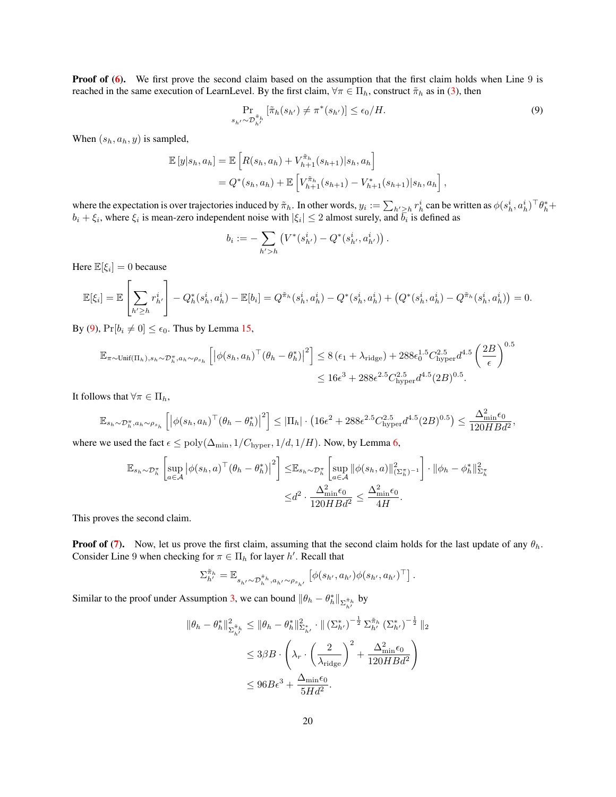**Proof of [\(6\)](#page-16-2).** We first prove the second claim based on the assumption that the first claim holds when Line 9 is reached in the same execution of LearnLevel. By the first claim,  $\forall \pi \in \Pi_h$ , construct  $\tilde{\pi}_h$  as in [\(3\)](#page-10-1), then

<span id="page-19-0"></span>
$$
\Pr_{s_{h'} \sim \mathcal{D}_{h'}^{\pi_h}} \left[ \tilde{\pi}_h(s_{h'}) \neq \pi^*(s_{h'}) \right] \le \epsilon_0 / H. \tag{9}
$$

When  $(s_h, a_h, y)$  is sampled,

$$
\mathbb{E}[y|s_h, a_h] = \mathbb{E}\left[R(s_h, a_h) + V_{h+1}^{\tilde{\pi}_h}(s_{h+1})|s_h, a_h\right]
$$
  
=  $Q^*(s_h, a_h) + \mathbb{E}\left[V_{h+1}^{\tilde{\pi}_h}(s_{h+1}) - V_{h+1}^*(s_{h+1})|s_h, a_h\right],$ 

where the expectation is over trajectories induced by  $\tilde{\pi}_h$ . In other words,  $y_i := \sum_{h' \geq h} r_h^i$  can be written as  $\phi(s_h^i, a_h^i)^\top \theta_h^* +$  $b_i + \xi_i$ , where  $\xi_i$  is mean-zero independent noise with  $|\xi_i| \leq 2$  almost surely, and  $\overline{b_i}$  is defined as

$$
b_i := -\sum_{h' > h} \left( V^*(s_{h'}^i) - Q^*(s_{h'}^i, a_{h'}^i) \right).
$$

Here  $\mathbb{E}[\xi_i] = 0$  because

$$
\mathbb{E}[\xi_i] = \mathbb{E}\left[\sum_{h' \ge h} r_{h'}^i\right] - Q_h^*(s_h^i, a_h^i) - \mathbb{E}[b_i] = Q^{\tilde{\pi}_h}(s_h^i, a_h^i) - Q^*(s_h^i, a_h^i) + \left(Q^*(s_h^i, a_h^i) - Q^{\tilde{\pi}_h}(s_h^i, a_h^i)\right) = 0.
$$

By [\(9\)](#page-19-0),  $Pr[b_i \neq 0] \leq \epsilon_0$ . Thus by Lemma [15,](#page-23-0)

$$
\mathbb{E}_{\pi \sim \text{Unif}(\Pi_h), s_h \sim \mathcal{D}_h^{\pi}, a_h \sim \rho_{s_h}} \left[ \left| \phi(s_h, a_h)^{\top} (\theta_h - \theta_h^*) \right|^2 \right] \le 8 \left( \epsilon_1 + \lambda_{\text{ridge}} \right) + 288 \epsilon_0^{1.5} C_{\text{hyper}}^{2.5} d^{4.5} \left( \frac{2B}{\epsilon} \right)^{0.5} \le 16 \epsilon^3 + 288 \epsilon^{2.5} C_{\text{hyper}}^{2.5} d^{4.5} (2B)^{0.5}.
$$

It follows that  $\forall \pi \in \Pi_h$ ,

$$
\mathbb{E}_{s_h \sim \mathcal{D}_h^{\pi}, a_h \sim \rho_{s_h}} \left[ \left| \phi(s_h, a_h)^\top (\theta_h - \theta_h^*) \right|^2 \right] \leq |\Pi_h| \cdot \left( 16\epsilon^2 + 288\epsilon^{2.5} C_{\text{hyper}}^{2.5} d^{4.5} (2B)^{0.5} \right) \leq \frac{\Delta_{\min}^2 \epsilon_0}{120H B d^2},
$$

where we used the fact  $\epsilon \le \text{poly}(\Delta_{\text{min}}, 1/C_{\text{hyper}}, 1/d, 1/H)$ . Now, by Lemma [6,](#page-8-2)

$$
\mathbb{E}_{s_h \sim \mathcal{D}_h^{\pi}} \left[ \sup_{a \in \mathcal{A}} \left| \phi(s_h, a)^{\top} (\theta_h - \theta_h^*) \right|^2 \right] \leq \mathbb{E}_{s_h \sim \mathcal{D}_h^{\pi}} \left[ \sup_{a \in \mathcal{A}} \left\| \phi(s_h, a) \right\|_{(\Sigma_h^{\pi})^{-1}}^2 \right] \cdot \|\phi_h - \phi_h^*\|_{\Sigma_h^{\pi}}^2 \right] \leq d^2 \cdot \frac{\Delta_{\min}^2 \epsilon_0}{120H B d^2} \leq \frac{\Delta_{\min}^2 \epsilon_0}{4H}.
$$

This proves the second claim.

**Proof of [\(7\)](#page-18-0).** Now, let us prove the first claim, assuming that the second claim holds for the last update of any  $\theta_h$ . Consider Line 9 when checking for  $\pi \in \Pi_h$  for layer h'. Recall that

$$
\Sigma_{h'}^{\tilde{\pi}_h} = \mathbb{E}_{s_{h'} \sim \mathcal{D}_h^{\tilde{\pi}_h}, a_{h'} \sim \rho_{s_{h'}}} \left[ \phi(s_{h'}, a_{h'}) \phi(s_{h'}, a_{h'})^\top \right].
$$

Similar to the proof under Assumption [3,](#page-8-0) we can bound  $\|\theta_h - \theta_h^*\|_{\Sigma_{h'}^{\tilde{\pi}_h}}$  by

$$
\|\theta_h - \theta_h^*\|_{\Sigma_{h'}^{\tilde{\pi}_h}}^2 \le \|\theta_h - \theta_h^*\|_{\Sigma_{h'}^*}^2 \cdot \|\left(\Sigma_{h'}^*\right)^{-\frac{1}{2}} \Sigma_{h'}^{\tilde{\pi}_h} \left(\Sigma_{h'}^*\right)^{-\frac{1}{2}} \|_2
$$
  

$$
\le 3\beta B \cdot \left(\lambda_r \cdot \left(\frac{2}{\lambda_{\text{ridge}}}\right)^2 + \frac{\Delta_{\min}^2 \epsilon_0}{120H B d^2}\right)
$$
  

$$
\le 96B\epsilon^3 + \frac{\Delta_{\min} \epsilon_0}{5H d^2}.
$$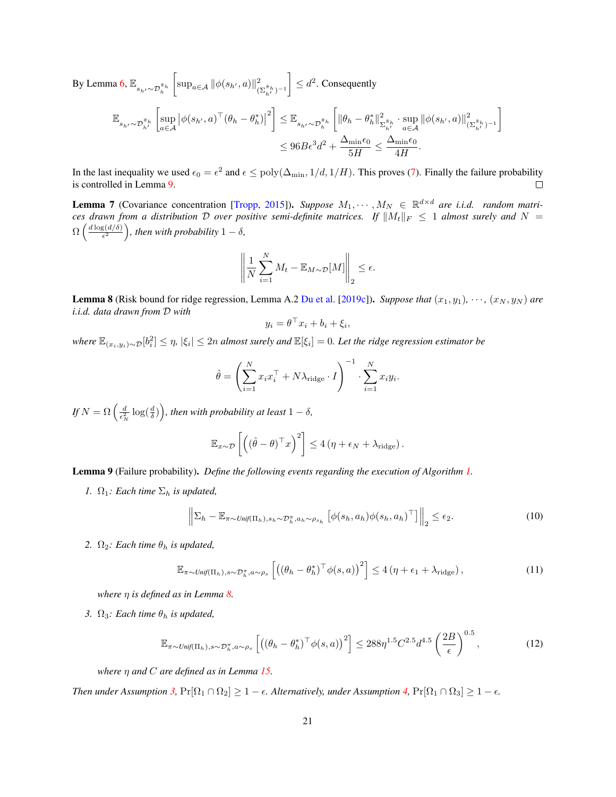$$
\begin{aligned} \text{By Lemma 6,}~\mathbb{E}_{s_{h'} \sim \mathcal{D}^{\tilde{\pi}_h}_{h'}}\left[ \sup_{a \in \mathcal{A}} \|\phi(s_{h'}, a)\|_{(\Sigma_{h'}^{\tilde{\pi}_h})^{-1}}^2 \right] & \leq d^2.~\text{Consequently} \\ & \mathbb{E}_{s_{h'} \sim \mathcal{D}^{\tilde{\pi}_h}_{h'}}\left[ \sup_{a \in \mathcal{A}} \left| \phi(s_{h'}, a)^\top (\theta_h - \theta^*_h) \right|^2 \right] \leq \mathbb{E}_{s_{h'} \sim \mathcal{D}^{\tilde{\pi}_h}_{h}}\left[ \|\theta_h - \theta^*_h\|_{\Sigma_{h'}^{\tilde{\pi}_h}}^2 \cdot \sup_{a \in \mathcal{A}} \|\phi(s_{h'}, a)\|_{(\Sigma_{h'}^{\tilde{\pi}_h})^{-1}}^2 \right] \\ & \leq 96B\epsilon^3d^2 + \frac{\Delta_{\min}\epsilon_0}{5H} \leq \frac{\Delta_{\min}\epsilon_0}{4H}. \end{aligned}
$$

In the last inequality we used  $\epsilon_0 = \epsilon^2$  and  $\epsilon \leq poly(\Delta_{\min}, 1/d, 1/H)$ . This proves [\(7\)](#page-18-0). Finally the failure probability is controlled in Lemma [9.](#page-20-0)  $\Box$ 

1

<span id="page-20-2"></span>**Lemma 7** (Covariance concentration [\[Tropp,](#page-13-17) [2015\]](#page-13-17)). Suppose  $M_1, \dots, M_N \in \mathbb{R}^{d \times d}$  are i.i.d. random matri*ces drawn from a distribution* D *over positive semi-definite matrices.* If  $||M_t||_F \leq 1$  *almost surely and*  $N =$  $\Omega\left(\frac{d\log(d/\delta)}{\epsilon^2}\right)$  $\left(\frac{g(d/\delta)}{\epsilon^2}\right)$ , then with probability  $1-\delta$ ,

$$
\left\| \frac{1}{N} \sum_{i=1}^{N} M_t - \mathbb{E}_{M \sim \mathcal{D}}[M] \right\|_2 \le \epsilon.
$$

<span id="page-20-1"></span>**Lemma 8** (Risk bound for ridge regression, Lemma A.2 [Du et al.](#page-12-0) [\[2019c\]](#page-12-0)). *Suppose that*  $(x_1, y_1)$ ,  $\cdots$ ,  $(x_N, y_N)$  *are i.i.d. data drawn from* D *with*

$$
y_i = \theta^\top x_i + b_i + \xi_i,
$$

 $where$   $\mathbb{E}_{(x_i,y_i)\sim\mathcal{D}}[b_i^2] \leq \eta$ ,  $|\xi_i|\leq 2n$  almost surely and  $\mathbb{E}[\xi_i]=0$ . Let the ridge regression estimator be

$$
\hat{\theta} = \left(\sum_{i=1}^{N} x_i x_i^{\top} + N\lambda_{\text{ridge}} \cdot I\right)^{-1} \cdot \sum_{i=1}^{N} x_i y_i.
$$

If  $N = \Omega\left(\frac{d}{\epsilon_N^2}\log(\frac{d}{\delta})\right)$ , then with probability at least  $1-\delta$ ,

$$
\mathbb{E}_{x \sim \mathcal{D}}\left[\left((\hat{\theta} - \theta)^{\top} x\right)^2\right] \le 4\left(\eta + \epsilon_N + \lambda_{\text{ridge}}\right).
$$

<span id="page-20-0"></span>Lemma 9 (Failure probability). *Define the following events regarding the execution of Algorithm [1.](#page-9-1)*

*1.*  $\Omega_1$ *: Each time*  $\Sigma_h$  *is updated,* 

<span id="page-20-3"></span>
$$
\left\| \Sigma_h - \mathbb{E}_{\pi \sim \text{Unif}(\Pi_h), s_h \sim \mathcal{D}_h^{\pi}, a_h \sim \rho_{s_h}} \left[ \phi(s_h, a_h) \phi(s_h, a_h)^\top \right] \right\|_2 \le \epsilon_2.
$$
\n(10)

*2.*  $\Omega_2$ *: Each time*  $\theta_h$  *is updated,* 

<span id="page-20-4"></span>
$$
\mathbb{E}_{\pi \sim \text{Unif}(\Pi_h), s \sim \mathcal{D}_h^{\pi}, a \sim \rho_s} \left[ \left( (\theta_h - \theta_h^*)^{\top} \phi(s, a) \right)^2 \right] \le 4 \left( \eta + \epsilon_1 + \lambda_{\text{ridge}} \right),\tag{11}
$$

*where* η *is defined as in Lemma [8.](#page-20-1)*

*3.*  $\Omega_3$ *: Each time*  $\theta_h$  *is updated,* 

<span id="page-20-5"></span>
$$
\mathbb{E}_{\pi \sim \text{Unif}(\Pi_h), s \sim \mathcal{D}_h^{\pi}, a \sim \rho_s} \left[ \left( (\theta_h - \theta_h^*)^\top \phi(s, a) \right)^2 \right] \le 288 \eta^{1.5} C^{2.5} d^{4.5} \left( \frac{2B}{\epsilon} \right)^{0.5},\tag{12}
$$

*where* η *and* C *are defined as in Lemma [15.](#page-23-0)*

*Then under Assumption [3,](#page-8-0)*  $Pr[\Omega_1 \cap \Omega_2] \ge 1 - \epsilon$ . Alternatively, under Assumption [4,](#page-8-1)  $Pr[\Omega_1 \cap \Omega_3] \ge 1 - \epsilon$ .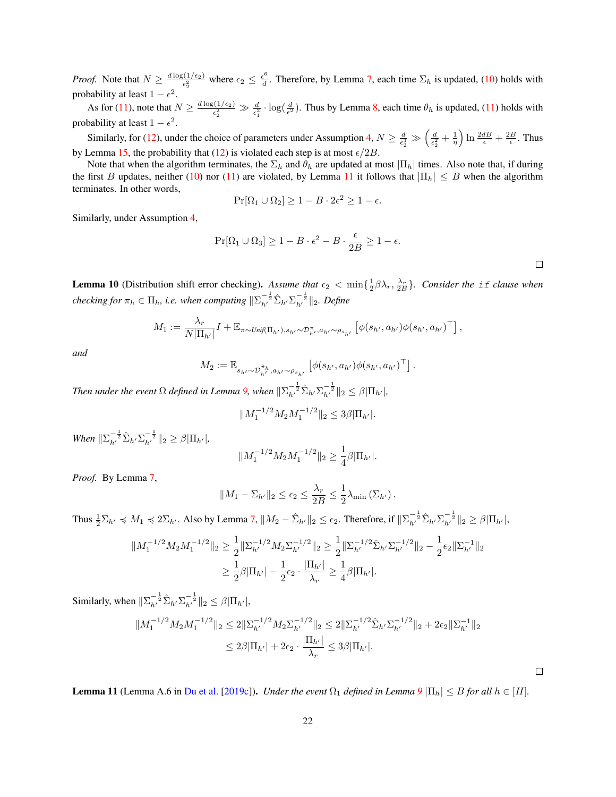*Proof.* Note that  $N \geq \frac{d \log(1/\epsilon_2)}{\epsilon_2^2}$  where  $\epsilon_2 \leq \frac{\epsilon^6}{d}$  $\frac{d^2}{dt}$ . Therefore, by Lemma [7,](#page-20-2) each time  $\Sigma_h$  is updated, [\(10\)](#page-20-3) holds with probability at least  $1 - \epsilon^2$ .

As for [\(11\)](#page-20-4), note that  $N \ge \frac{d \log(1/\epsilon_2)}{\epsilon_2^2} \gg \frac{d}{\epsilon_1^2} \cdot \log(\frac{d}{\epsilon^2})$ . Thus by Lemma [8,](#page-20-1) each time  $\theta_h$  is updated, (11) holds with probability at least  $1 - \epsilon^2$ .

Similarly, for [\(12\)](#page-20-5), under the choice of parameters under Assumption [4,](#page-8-1)  $N \ge \frac{d}{\epsilon_2^3} \gg \left(\frac{d}{\epsilon_2^2} + \frac{1}{\eta}\right) \ln \frac{2dB}{\epsilon} + \frac{2B}{\epsilon}$ . Thus by Lemma [15,](#page-23-0) the probability that [\(12\)](#page-20-5) is violated each step is at most  $\epsilon/2B$ .

Note that when the algorithm terminates, the  $\Sigma_h$  and  $\theta_h$  are updated at most  $|\Pi_h|$  times. Also note that, if during the first B updates, neither [\(10\)](#page-20-3) nor [\(11\)](#page-20-4) are violated, by Lemma [11](#page-21-0) it follows that  $|\Pi_h| \leq B$  when the algorithm terminates. In other words,

$$
\Pr[\Omega_1 \cup \Omega_2] \ge 1 - B \cdot 2\epsilon^2 \ge 1 - \epsilon.
$$

Similarly, under Assumption [4,](#page-8-1)

$$
\Pr[\Omega_1 \cup \Omega_3] \ge 1 - B \cdot \epsilon^2 - B \cdot \frac{\epsilon}{2B} \ge 1 - \epsilon.
$$

.

<span id="page-21-1"></span>**Lemma 10** (Distribution shift error checking). Assume that  $\epsilon_2 < \min\{\frac{1}{2}\beta\lambda_r, \frac{\lambda_r}{2B}\}\$ . Consider the if clause when *checking for*  $\pi_h \in \Pi_h$ , *i.e. when computing*  $\|\Sigma_{h'}^{-\frac{1}{2}}\hat{\Sigma}_{h'}\Sigma_{h'}^{-\frac{1}{2}}\|_2$ *. Define* 

$$
M_1 := \frac{\lambda_r}{N|\Pi_{h'}|} I + \mathbb{E}_{\pi \sim \text{Unif}(\Pi_{h'}), s_{h'} \sim \mathcal{D}_{h'}^{\pi}, a_{h'} \sim \rho_{s_{h'}}} \left[ \phi(s_{h'}, a_{h'}) \phi(s_{h'}, a_{h'})^{\top} \right],
$$

*and*

$$
M_2 := \mathbb{E}_{s_{h'} \sim \mathcal{D}_{h'}^{\tilde{\pi}_h}, a_{h'} \sim \rho_{s_{h'}}} \left[ \phi(s_{h'}, a_{h'}) \phi(s_{h'}, a_{h'})^{\top} \right]
$$

*Then under the event*  $\Omega$  *defined in Lemma [9,](#page-20-0) when*  $\|\Sigma_{h'}^{-\frac{1}{2}}\hat{\Sigma}_{h'}\Sigma_{h'}^{-\frac{1}{2}}\|_2 \leq \beta|\Pi_{h'}|$ ,

$$
||M_1^{-1/2}M_2M_1^{-1/2}||_2 \leq 3\beta |\Pi_{h'}|.
$$

*When*  $\|\Sigma_{h'}^{-\frac{1}{2}}\hat{\Sigma}_{h'}\Sigma_{h'}^{-\frac{1}{2}}\|_2 \geq \beta|\Pi_{h'}|$ ,

$$
||M_1^{-1/2}M_2M_1^{-1/2}||_2 \ge \frac{1}{4}\beta |\Pi_{h'}|.
$$

*Proof.* By Lemma [7,](#page-20-2)

$$
||M_1 - \Sigma_{h'}||_2 \le \epsilon_2 \le \frac{\lambda_r}{2B} \le \frac{1}{2}\lambda_{\min}(\Sigma_{h'}).
$$

Thus  $\frac{1}{2}\Sigma_{h'} \preccurlyeq M_1 \preccurlyeq 2\Sigma_{h'}$ . Also by Lemma [7,](#page-20-2)  $||M_2 - \hat{\Sigma}_{h'}||_2 \le \epsilon_2$ . Therefore, if  $||\Sigma_{h'}^{-\frac{1}{2}}\hat{\Sigma}_{h'}\Sigma_{h'}^{-\frac{1}{2}}||_2 \ge \beta |\Pi_{h'}|$ ,

$$
\begin{aligned} \|M_1^{-1/2}M_2M_1^{-1/2}\|_2&\geq \frac{1}{2}\|\Sigma_{h'}^{-1/2}M_2\Sigma_{h'}^{-1/2}\|_2\geq \frac{1}{2}\|\Sigma_{h'}^{-1/2}\hat{\Sigma}_{h'}\Sigma_{h'}^{-1/2}\|_2-\frac{1}{2}\epsilon_2\|\Sigma_{h'}^{-1}\|_2\\ &\geq \frac{1}{2}\beta|\Pi_{h'}|-\frac{1}{2}\epsilon_2\cdot\frac{|\Pi_{h'}|}{\lambda_r}\geq \frac{1}{4}\beta|\Pi_{h'}|.\end{aligned}
$$

Similarly, when  $\|\Sigma_{h'}^{-\frac{1}{2}}\hat{\Sigma}_{h'}\Sigma_{h'}^{-\frac{1}{2}}\|_2 \leq \beta |\Pi_{h'}|$ ,

$$
||M_1^{-1/2}M_2M_1^{-1/2}||_2 \le 2||\Sigma_{h'}^{-1/2}M_2\Sigma_{h'}^{-1/2}||_2 \le 2||\Sigma_{h'}^{-1/2}\hat{\Sigma}_{h'}\Sigma_{h'}^{-1/2}||_2 + 2\epsilon_2||\Sigma_{h'}^{-1}||_2
$$
  

$$
\le 2\beta|\Pi_{h'}| + 2\epsilon_2 \cdot \frac{|\Pi_{h'}|}{\lambda_r} \le 3\beta|\Pi_{h'}|.
$$

 $\Box$ 

<span id="page-21-0"></span>**Lemma 11** (Lemma A.6 in [Du et al.](#page-12-0) [\[2019c\]](#page-12-0)). *Under the event*  $\Omega_1$  *defined in Lemma*  $9|\Pi_h| \leq B$  $9|\Pi_h| \leq B$  *for all*  $h \in [H]$ *.*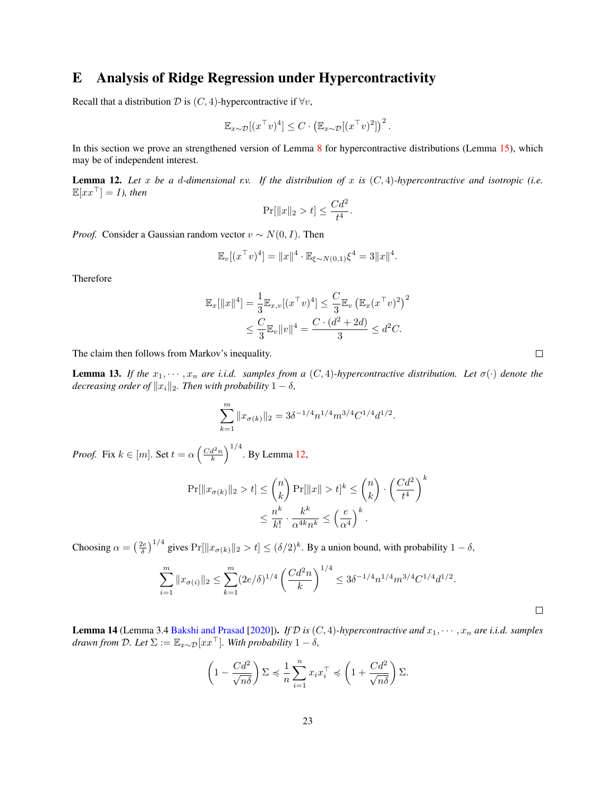### E Analysis of Ridge Regression under Hypercontractivity

Recall that a distribution  $D$  is  $(C, 4)$ -hypercontractive if  $\forall v$ ,

$$
\mathbb{E}_{x \sim \mathcal{D}}[(x^\top v)^4] \leq C \cdot (\mathbb{E}_{x \sim \mathcal{D}}[(x^\top v)^2])^2.
$$

In this section we prove an strengthened version of Lemma [8](#page-20-1) for hypercontractive distributions (Lemma [15\)](#page-23-0), which may be of independent interest.

<span id="page-22-0"></span>**Lemma 12.** Let x be a d-dimensional r.v. If the distribution of x is  $(C, 4)$ -hypercontractive and isotropic (i.e.  $\mathbb{E}[xx^{\top}] = I$ , then

$$
\Pr[\|x\|_2 > t] \le \frac{Cd^2}{t^4}.
$$

*Proof.* Consider a Gaussian random vector  $v \sim N(0, I)$ . Then

$$
\mathbb{E}_v[(x^\top v)^4] = ||x||^4 \cdot \mathbb{E}_{\xi \sim N(0,1)} \xi^4 = 3||x||^4.
$$

Therefore

$$
\mathbb{E}_x[\|x\|^4] = \frac{1}{3} \mathbb{E}_{x,v}[(x^\top v)^4] \le \frac{C}{3} \mathbb{E}_v \left(\mathbb{E}_x (x^\top v)^2\right)^2
$$
  

$$
\le \frac{C}{3} \mathbb{E}_v \|v\|^4 = \frac{C \cdot (d^2 + 2d)}{3} \le d^2 C.
$$

The claim then follows from Markov's inequality.

<span id="page-22-1"></span>**Lemma 13.** If the  $x_1, \dots, x_n$  are i.i.d. samples from a  $(C, 4)$ -hypercontractive distribution. Let  $\sigma(\cdot)$  denote the *decreasing order of*  $||x_i||_2$ *. Then with probability*  $1 - \delta$ *,* 

$$
\sum_{k=1}^{m} ||x_{\sigma(k)}||_2 = 3\delta^{-1/4} n^{1/4} m^{3/4} C^{1/4} d^{1/2}.
$$

*Proof.* Fix  $k \in [m]$ . Set  $t = \alpha \left(\frac{Cd^2n}{k}\right)^{1/4}$ . By Lemma [12,](#page-22-0)

$$
\Pr[\|x_{\sigma(k)}\|_2 > t] \le \binom{n}{k} \Pr[\|x\| > t]^k \le \binom{n}{k} \cdot \left(\frac{Cd^2}{t^4}\right)^k
$$

$$
\le \frac{n^k}{k!} \cdot \frac{k^k}{\alpha^{4k}n^k} \le \left(\frac{e}{\alpha^4}\right)^k.
$$

Choosing  $\alpha = \left(\frac{2e}{\delta}\right)^{1/4}$  gives  $Pr[\|x_{\sigma(k)}\|_2 > t] \le (\delta/2)^k$ . By a union bound, with probability  $1 - \delta$ ,

$$
\sum_{i=1}^{m} \|x_{\sigma(i)}\|_2 \le \sum_{k=1}^{m} (2e/\delta)^{1/4} \left(\frac{Cd^2n}{k}\right)^{1/4} \le 3\delta^{-1/4} n^{1/4} m^{3/4} C^{1/4} d^{1/2}.
$$

**Lemma 14** (Lemma 3.4 [Bakshi and Prasad](#page-11-6) [\[2020\]](#page-11-6)). *If*  $D$  *is*  $(C, 4)$ *-hypercontractive and*  $x_1, \dots, x_n$  *are i.i.d. samples drawn from*  $\mathcal{D}$ *. Let*  $\Sigma := \mathbb{E}_{x \sim \mathcal{D}}[xx^\top]$ *. With probability*  $1 - \delta$ *,* 

$$
\left(1 - \frac{Cd^2}{\sqrt{n\delta}}\right)\Sigma \preccurlyeq \frac{1}{n}\sum_{i=1}^n x_i x_i^\top \preccurlyeq \left(1 + \frac{Cd^2}{\sqrt{n\delta}}\right)\Sigma.
$$

 $\Box$ 

 $\Box$